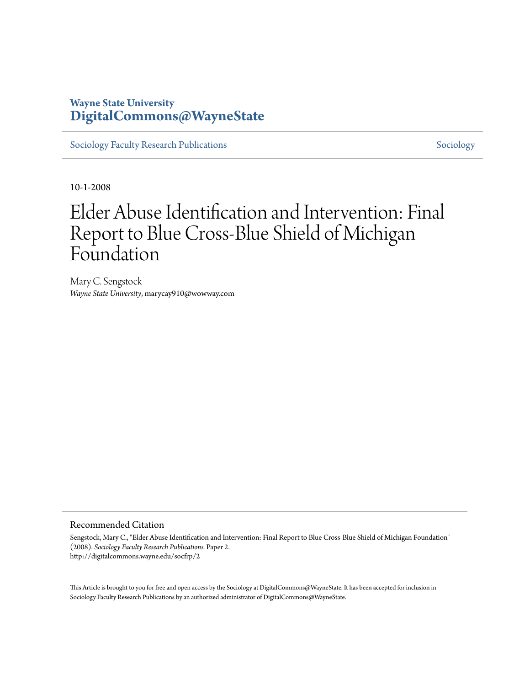# **Wayne State University [DigitalCommons@WayneState](http://digitalcommons.wayne.edu)**

[Sociology Faculty Research Publications](http://digitalcommons.wayne.edu/socfrp) [Sociology](http://digitalcommons.wayne.edu/soc) Sociology

10-1-2008

# Elder Abuse Identification and Intervention: Final Report to Blue Cross-Blue Shield of Michigan Foundation

Mary C. Sengstock *Wayne State University*, marycay910@wowway.com

#### Recommended Citation

Sengstock, Mary C., "Elder Abuse Identification and Intervention: Final Report to Blue Cross-Blue Shield of Michigan Foundation" (2008). *Sociology Faculty Research Publications.* Paper 2. http://digitalcommons.wayne.edu/socfrp/2

This Article is brought to you for free and open access by the Sociology at DigitalCommons@WayneState. It has been accepted for inclusion in Sociology Faculty Research Publications by an authorized administrator of DigitalCommons@WayneState.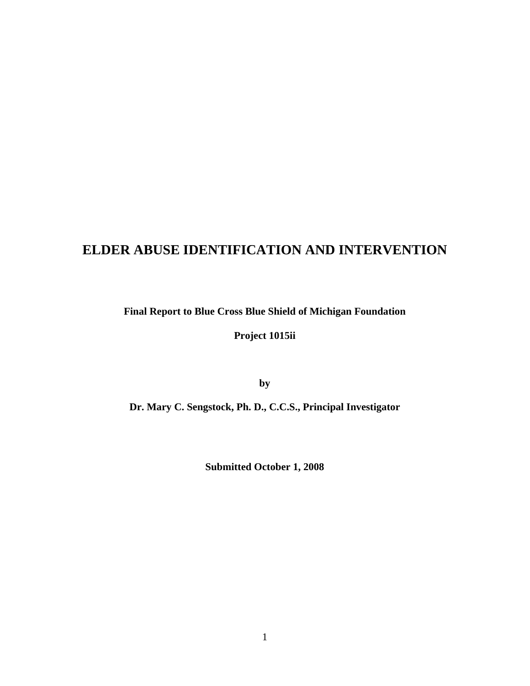# **ELDER ABUSE IDENTIFICATION AND INTERVENTION**

**Final Report to Blue Cross Blue Shield of Michigan Foundation**

**Project 1015ii** 

**by** 

**Dr. Mary C. Sengstock, Ph. D., C.C.S., Principal Investigator** 

**Submitted October 1, 2008**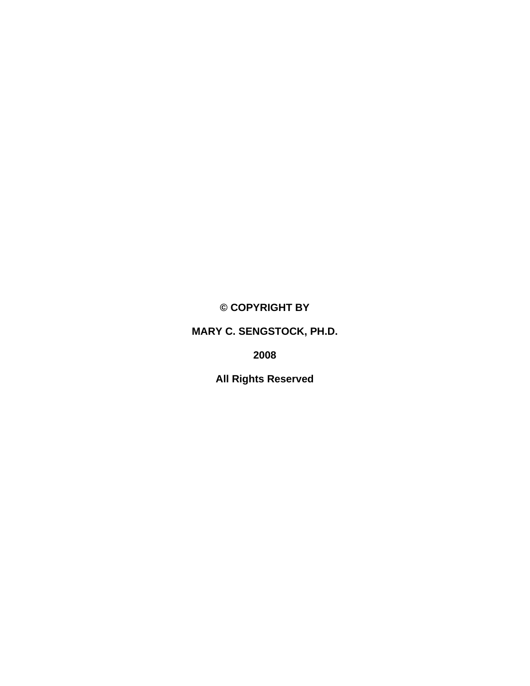**© COPYRIGHT BY** 

**MARY C. SENGSTOCK, PH.D.** 

**2008** 

**All Rights Reserved**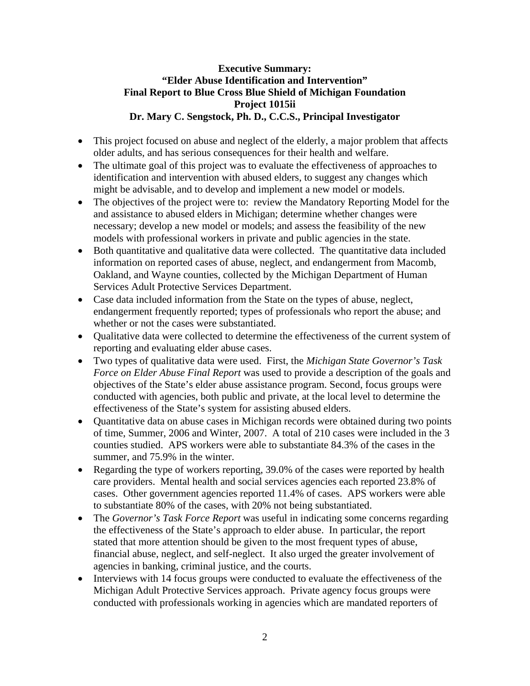# **Executive Summary: "Elder Abuse Identification and Intervention" Final Report to Blue Cross Blue Shield of Michigan Foundation Project 1015ii Dr. Mary C. Sengstock, Ph. D., C.C.S., Principal Investigator**

- This project focused on abuse and neglect of the elderly, a major problem that affects older adults, and has serious consequences for their health and welfare.
- The ultimate goal of this project was to evaluate the effectiveness of approaches to identification and intervention with abused elders, to suggest any changes which might be advisable, and to develop and implement a new model or models.
- The objectives of the project were to: review the Mandatory Reporting Model for the and assistance to abused elders in Michigan; determine whether changes were necessary; develop a new model or models; and assess the feasibility of the new models with professional workers in private and public agencies in the state.
- Both quantitative and qualitative data were collected. The quantitative data included information on reported cases of abuse, neglect, and endangerment from Macomb, Oakland, and Wayne counties, collected by the Michigan Department of Human Services Adult Protective Services Department.
- Case data included information from the State on the types of abuse, neglect, endangerment frequently reported; types of professionals who report the abuse; and whether or not the cases were substantiated.
- Oualitative data were collected to determine the effectiveness of the current system of reporting and evaluating elder abuse cases.
- Two types of qualitative data were used. First, the *Michigan State Governor's Task Force on Elder Abuse Final Report* was used to provide a description of the goals and objectives of the State's elder abuse assistance program. Second, focus groups were conducted with agencies, both public and private, at the local level to determine the effectiveness of the State's system for assisting abused elders.
- Quantitative data on abuse cases in Michigan records were obtained during two points of time, Summer, 2006 and Winter, 2007. A total of 210 cases were included in the 3 counties studied. APS workers were able to substantiate 84.3% of the cases in the summer, and 75.9% in the winter.
- Regarding the type of workers reporting, 39.0% of the cases were reported by health care providers. Mental health and social services agencies each reported 23.8% of cases. Other government agencies reported 11.4% of cases. APS workers were able to substantiate 80% of the cases, with 20% not being substantiated.
- The *Governor's Task Force Report* was useful in indicating some concerns regarding the effectiveness of the State's approach to elder abuse. In particular, the report stated that more attention should be given to the most frequent types of abuse, financial abuse, neglect, and self-neglect. It also urged the greater involvement of agencies in banking, criminal justice, and the courts.
- Interviews with 14 focus groups were conducted to evaluate the effectiveness of the Michigan Adult Protective Services approach. Private agency focus groups were conducted with professionals working in agencies which are mandated reporters of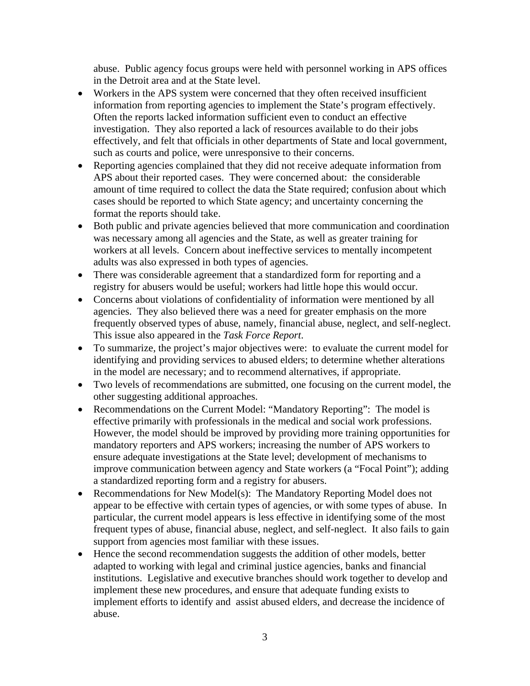abuse. Public agency focus groups were held with personnel working in APS offices in the Detroit area and at the State level.

- Workers in the APS system were concerned that they often received insufficient information from reporting agencies to implement the State's program effectively. Often the reports lacked information sufficient even to conduct an effective investigation. They also reported a lack of resources available to do their jobs effectively, and felt that officials in other departments of State and local government, such as courts and police, were unresponsive to their concerns.
- Reporting agencies complained that they did not receive adequate information from APS about their reported cases. They were concerned about: the considerable amount of time required to collect the data the State required; confusion about which cases should be reported to which State agency; and uncertainty concerning the format the reports should take.
- Both public and private agencies believed that more communication and coordination was necessary among all agencies and the State, as well as greater training for workers at all levels. Concern about ineffective services to mentally incompetent adults was also expressed in both types of agencies.
- There was considerable agreement that a standardized form for reporting and a registry for abusers would be useful; workers had little hope this would occur.
- Concerns about violations of confidentiality of information were mentioned by all agencies. They also believed there was a need for greater emphasis on the more frequently observed types of abuse, namely, financial abuse, neglect, and self-neglect. This issue also appeared in the *Task Force Report*.
- To summarize, the project's major objectives were: to evaluate the current model for identifying and providing services to abused elders; to determine whether alterations in the model are necessary; and to recommend alternatives, if appropriate.
- Two levels of recommendations are submitted, one focusing on the current model, the other suggesting additional approaches.
- Recommendations on the Current Model: "Mandatory Reporting": The model is effective primarily with professionals in the medical and social work professions. However, the model should be improved by providing more training opportunities for mandatory reporters and APS workers; increasing the number of APS workers to ensure adequate investigations at the State level; development of mechanisms to improve communication between agency and State workers (a "Focal Point"); adding a standardized reporting form and a registry for abusers.
- Recommendations for New Model(s): The Mandatory Reporting Model does not appear to be effective with certain types of agencies, or with some types of abuse. In particular, the current model appears is less effective in identifying some of the most frequent types of abuse, financial abuse, neglect, and self-neglect. It also fails to gain support from agencies most familiar with these issues.
- Hence the second recommendation suggests the addition of other models, better adapted to working with legal and criminal justice agencies, banks and financial institutions. Legislative and executive branches should work together to develop and implement these new procedures, and ensure that adequate funding exists to implement efforts to identify and assist abused elders, and decrease the incidence of abuse.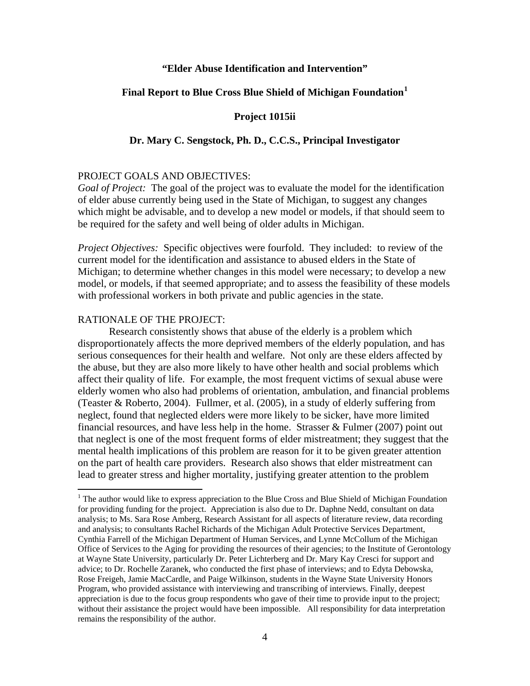#### **"Elder Abuse Identification and Intervention"**

#### **Final Report to Blue Cross Blue Shield of Michigan Foundation[1](#page-5-0)**

#### **Project 1015ii**

#### **Dr. Mary C. Sengstock, Ph. D., C.C.S., Principal Investigator**

#### PROJECT GOALS AND OBJECTIVES:

*Goal of Project:* The goal of the project was to evaluate the model for the identification of elder abuse currently being used in the State of Michigan, to suggest any changes which might be advisable, and to develop a new model or models, if that should seem to be required for the safety and well being of older adults in Michigan.

*Project Objectives:* Specific objectives were fourfold. They included: to review of the current model for the identification and assistance to abused elders in the State of Michigan; to determine whether changes in this model were necessary; to develop a new model, or models, if that seemed appropriate; and to assess the feasibility of these models with professional workers in both private and public agencies in the state.

#### RATIONALE OF THE PROJECT:

 Research consistently shows that abuse of the elderly is a problem which disproportionately affects the more deprived members of the elderly population, and has serious consequences for their health and welfare. Not only are these elders affected by the abuse, but they are also more likely to have other health and social problems which affect their quality of life. For example, the most frequent victims of sexual abuse were elderly women who also had problems of orientation, ambulation, and financial problems (Teaster & Roberto, 2004). Fullmer, et al. (2005), in a study of elderly suffering from neglect, found that neglected elders were more likely to be sicker, have more limited financial resources, and have less help in the home. Strasser  $&$  Fulmer (2007) point out that neglect is one of the most frequent forms of elder mistreatment; they suggest that the mental health implications of this problem are reason for it to be given greater attention on the part of health care providers. Research also shows that elder mistreatment can lead to greater stress and higher mortality, justifying greater attention to the problem

<span id="page-5-0"></span>The author would like to express appreciation to the Blue Cross and Blue Shield of Michigan Foundation for providing funding for the project. Appreciation is also due to Dr. Daphne Nedd, consultant on data analysis; to Ms. Sara Rose Amberg, Research Assistant for all aspects of literature review, data recording and analysis; to consultants Rachel Richards of the Michigan Adult Protective Services Department, Cynthia Farrell of the Michigan Department of Human Services, and Lynne McCollum of the Michigan Office of Services to the Aging for providing the resources of their agencies; to the Institute of Gerontology at Wayne State University, particularly Dr. Peter Lichterberg and Dr. Mary Kay Cresci for support and advice; to Dr. Rochelle Zaranek, who conducted the first phase of interviews; and to Edyta Debowska, Rose Freigeh, Jamie MacCardle, and Paige Wilkinson, students in the Wayne State University Honors Program, who provided assistance with interviewing and transcribing of interviews. Finally, deepest appreciation is due to the focus group respondents who gave of their time to provide input to the project; without their assistance the project would have been impossible. All responsibility for data interpretation remains the responsibility of the author.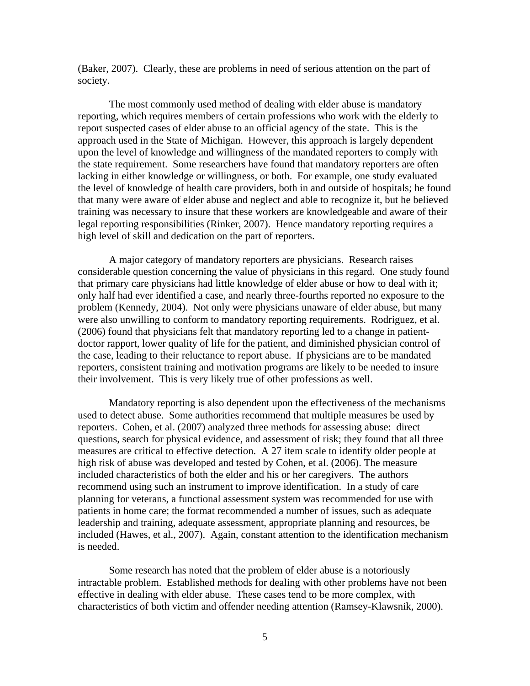(Baker, 2007). Clearly, these are problems in need of serious attention on the part of society.

 The most commonly used method of dealing with elder abuse is mandatory reporting, which requires members of certain professions who work with the elderly to report suspected cases of elder abuse to an official agency of the state. This is the approach used in the State of Michigan. However, this approach is largely dependent upon the level of knowledge and willingness of the mandated reporters to comply with the state requirement. Some researchers have found that mandatory reporters are often lacking in either knowledge or willingness, or both. For example, one study evaluated the level of knowledge of health care providers, both in and outside of hospitals; he found that many were aware of elder abuse and neglect and able to recognize it, but he believed training was necessary to insure that these workers are knowledgeable and aware of their legal reporting responsibilities (Rinker, 2007). Hence mandatory reporting requires a high level of skill and dedication on the part of reporters.

 A major category of mandatory reporters are physicians. Research raises considerable question concerning the value of physicians in this regard. One study found that primary care physicians had little knowledge of elder abuse or how to deal with it; only half had ever identified a case, and nearly three-fourths reported no exposure to the problem (Kennedy, 2004). Not only were physicians unaware of elder abuse, but many were also unwilling to conform to mandatory reporting requirements. Rodriguez, et al. (2006) found that physicians felt that mandatory reporting led to a change in patientdoctor rapport, lower quality of life for the patient, and diminished physician control of the case, leading to their reluctance to report abuse. If physicians are to be mandated reporters, consistent training and motivation programs are likely to be needed to insure their involvement. This is very likely true of other professions as well.

 Mandatory reporting is also dependent upon the effectiveness of the mechanisms used to detect abuse. Some authorities recommend that multiple measures be used by reporters. Cohen, et al. (2007) analyzed three methods for assessing abuse: direct questions, search for physical evidence, and assessment of risk; they found that all three measures are critical to effective detection. A 27 item scale to identify older people at high risk of abuse was developed and tested by Cohen, et al. (2006). The measure included characteristics of both the elder and his or her caregivers. The authors recommend using such an instrument to improve identification. In a study of care planning for veterans, a functional assessment system was recommended for use with patients in home care; the format recommended a number of issues, such as adequate leadership and training, adequate assessment, appropriate planning and resources, be included (Hawes, et al., 2007). Again, constant attention to the identification mechanism is needed.

 Some research has noted that the problem of elder abuse is a notoriously intractable problem. Established methods for dealing with other problems have not been effective in dealing with elder abuse. These cases tend to be more complex, with characteristics of both victim and offender needing attention (Ramsey-Klawsnik, 2000).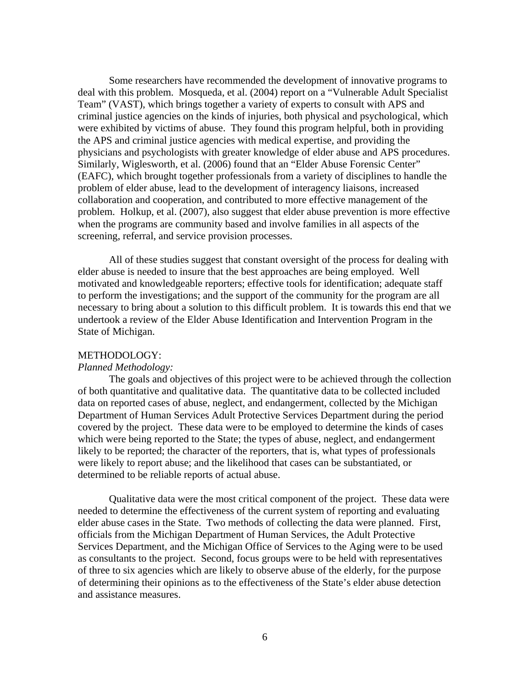Some researchers have recommended the development of innovative programs to deal with this problem. Mosqueda, et al. (2004) report on a "Vulnerable Adult Specialist Team" (VAST), which brings together a variety of experts to consult with APS and criminal justice agencies on the kinds of injuries, both physical and psychological, which were exhibited by victims of abuse. They found this program helpful, both in providing the APS and criminal justice agencies with medical expertise, and providing the physicians and psychologists with greater knowledge of elder abuse and APS procedures. Similarly, Wiglesworth, et al. (2006) found that an "Elder Abuse Forensic Center" (EAFC), which brought together professionals from a variety of disciplines to handle the problem of elder abuse, lead to the development of interagency liaisons, increased collaboration and cooperation, and contributed to more effective management of the problem. Holkup, et al. (2007), also suggest that elder abuse prevention is more effective when the programs are community based and involve families in all aspects of the screening, referral, and service provision processes.

 All of these studies suggest that constant oversight of the process for dealing with elder abuse is needed to insure that the best approaches are being employed. Well motivated and knowledgeable reporters; effective tools for identification; adequate staff to perform the investigations; and the support of the community for the program are all necessary to bring about a solution to this difficult problem. It is towards this end that we undertook a review of the Elder Abuse Identification and Intervention Program in the State of Michigan.

#### METHODOLOGY:

#### *Planned Methodology:*

The goals and objectives of this project were to be achieved through the collection of both quantitative and qualitative data. The quantitative data to be collected included data on reported cases of abuse, neglect, and endangerment, collected by the Michigan Department of Human Services Adult Protective Services Department during the period covered by the project. These data were to be employed to determine the kinds of cases which were being reported to the State; the types of abuse, neglect, and endangerment likely to be reported; the character of the reporters, that is, what types of professionals were likely to report abuse; and the likelihood that cases can be substantiated, or determined to be reliable reports of actual abuse.

Qualitative data were the most critical component of the project. These data were needed to determine the effectiveness of the current system of reporting and evaluating elder abuse cases in the State. Two methods of collecting the data were planned. First, officials from the Michigan Department of Human Services, the Adult Protective Services Department, and the Michigan Office of Services to the Aging were to be used as consultants to the project. Second, focus groups were to be held with representatives of three to six agencies which are likely to observe abuse of the elderly, for the purpose of determining their opinions as to the effectiveness of the State's elder abuse detection and assistance measures.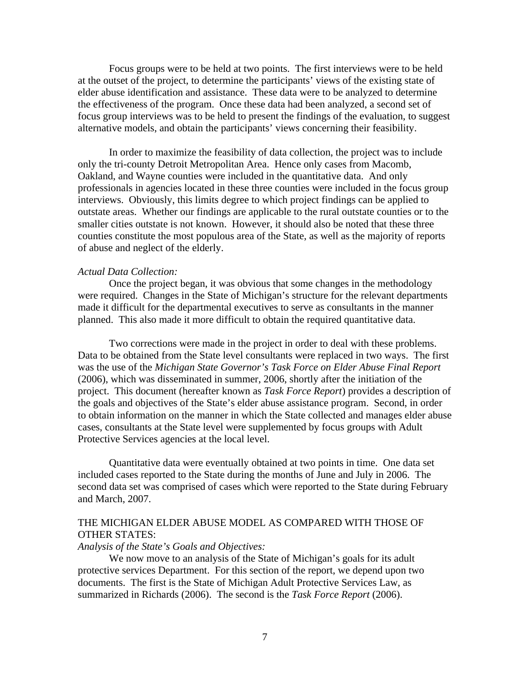Focus groups were to be held at two points. The first interviews were to be held at the outset of the project, to determine the participants' views of the existing state of elder abuse identification and assistance. These data were to be analyzed to determine the effectiveness of the program. Once these data had been analyzed, a second set of focus group interviews was to be held to present the findings of the evaluation, to suggest alternative models, and obtain the participants' views concerning their feasibility.

In order to maximize the feasibility of data collection, the project was to include only the tri-county Detroit Metropolitan Area. Hence only cases from Macomb, Oakland, and Wayne counties were included in the quantitative data. And only professionals in agencies located in these three counties were included in the focus group interviews. Obviously, this limits degree to which project findings can be applied to outstate areas. Whether our findings are applicable to the rural outstate counties or to the smaller cities outstate is not known. However, it should also be noted that these three counties constitute the most populous area of the State, as well as the majority of reports of abuse and neglect of the elderly.

#### *Actual Data Collection:*

Once the project began, it was obvious that some changes in the methodology were required. Changes in the State of Michigan's structure for the relevant departments made it difficult for the departmental executives to serve as consultants in the manner planned. This also made it more difficult to obtain the required quantitative data.

 Two corrections were made in the project in order to deal with these problems. Data to be obtained from the State level consultants were replaced in two ways. The first was the use of the *Michigan State Governor's Task Force on Elder Abuse Final Report* (2006), which was disseminated in summer, 2006, shortly after the initiation of the project. This document (hereafter known as *Task Force Report*) provides a description of the goals and objectives of the State's elder abuse assistance program. Second, in order to obtain information on the manner in which the State collected and manages elder abuse cases, consultants at the State level were supplemented by focus groups with Adult Protective Services agencies at the local level.

Quantitative data were eventually obtained at two points in time. One data set included cases reported to the State during the months of June and July in 2006. The second data set was comprised of cases which were reported to the State during February and March, 2007.

#### THE MICHIGAN ELDER ABUSE MODEL AS COMPARED WITH THOSE OF OTHER STATES:

#### *Analysis of the State's Goals and Objectives:*

We now move to an analysis of the State of Michigan's goals for its adult protective services Department. For this section of the report, we depend upon two documents. The first is the State of Michigan Adult Protective Services Law, as summarized in Richards (2006). The second is the *Task Force Report* (2006).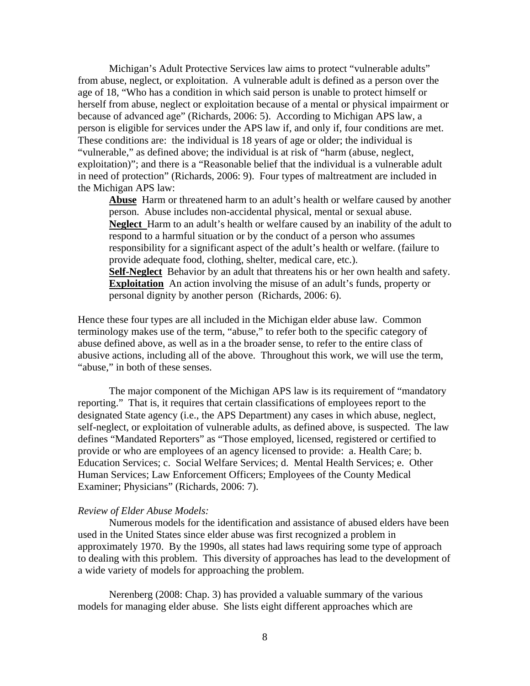Michigan's Adult Protective Services law aims to protect "vulnerable adults" from abuse, neglect, or exploitation. A vulnerable adult is defined as a person over the age of 18, "Who has a condition in which said person is unable to protect himself or herself from abuse, neglect or exploitation because of a mental or physical impairment or because of advanced age" (Richards, 2006: 5). According to Michigan APS law, a person is eligible for services under the APS law if, and only if, four conditions are met. These conditions are: the individual is 18 years of age or older; the individual is "vulnerable," as defined above; the individual is at risk of "harm (abuse, neglect, exploitation)"; and there is a "Reasonable belief that the individual is a vulnerable adult in need of protection" (Richards, 2006: 9). Four types of maltreatment are included in the Michigan APS law:

**Abuse** Harm or threatened harm to an adult's health or welfare caused by another person. Abuse includes non-accidental physical, mental or sexual abuse. **Neglect** Harm to an adult's health or welfare caused by an inability of the adult to respond to a harmful situation or by the conduct of a person who assumes responsibility for a significant aspect of the adult's health or welfare. (failure to provide adequate food, clothing, shelter, medical care, etc.).

**Self-Neglect** Behavior by an adult that threatens his or her own health and safety. **Exploitation** An action involving the misuse of an adult's funds, property or personal dignity by another person (Richards, 2006: 6).

Hence these four types are all included in the Michigan elder abuse law. Common terminology makes use of the term, "abuse," to refer both to the specific category of abuse defined above, as well as in a the broader sense, to refer to the entire class of abusive actions, including all of the above. Throughout this work, we will use the term, "abuse," in both of these senses.

 The major component of the Michigan APS law is its requirement of "mandatory reporting." That is, it requires that certain classifications of employees report to the designated State agency (i.e., the APS Department) any cases in which abuse, neglect, self-neglect, or exploitation of vulnerable adults, as defined above, is suspected. The law defines "Mandated Reporters" as "Those employed, licensed, registered or certified to provide or who are employees of an agency licensed to provide: a. Health Care; b. Education Services; c. Social Welfare Services; d. Mental Health Services; e. Other Human Services; Law Enforcement Officers; Employees of the County Medical Examiner; Physicians" (Richards, 2006: 7).

#### *Review of Elder Abuse Models:*

Numerous models for the identification and assistance of abused elders have been used in the United States since elder abuse was first recognized a problem in approximately 1970. By the 1990s, all states had laws requiring some type of approach to dealing with this problem. This diversity of approaches has lead to the development of a wide variety of models for approaching the problem.

Nerenberg (2008: Chap. 3) has provided a valuable summary of the various models for managing elder abuse. She lists eight different approaches which are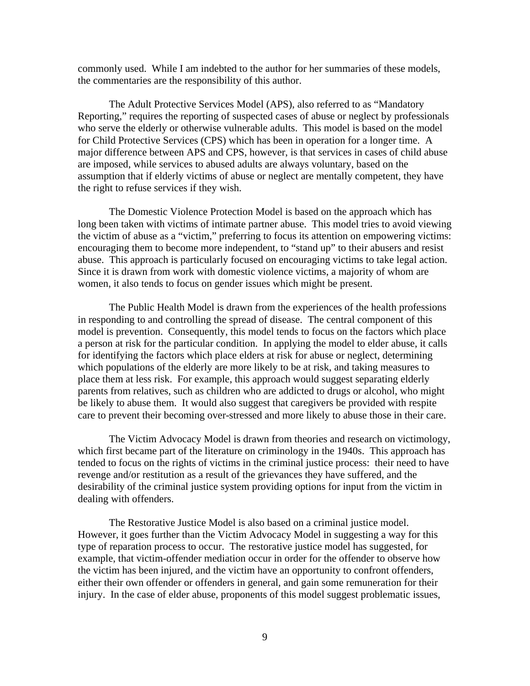commonly used. While I am indebted to the author for her summaries of these models, the commentaries are the responsibility of this author.

The Adult Protective Services Model (APS), also referred to as "Mandatory Reporting," requires the reporting of suspected cases of abuse or neglect by professionals who serve the elderly or otherwise vulnerable adults. This model is based on the model for Child Protective Services (CPS) which has been in operation for a longer time. A major difference between APS and CPS, however, is that services in cases of child abuse are imposed, while services to abused adults are always voluntary, based on the assumption that if elderly victims of abuse or neglect are mentally competent, they have the right to refuse services if they wish.

The Domestic Violence Protection Model is based on the approach which has long been taken with victims of intimate partner abuse. This model tries to avoid viewing the victim of abuse as a "victim," preferring to focus its attention on empowering victims: encouraging them to become more independent, to "stand up" to their abusers and resist abuse. This approach is particularly focused on encouraging victims to take legal action. Since it is drawn from work with domestic violence victims, a majority of whom are women, it also tends to focus on gender issues which might be present.

The Public Health Model is drawn from the experiences of the health professions in responding to and controlling the spread of disease. The central component of this model is prevention. Consequently, this model tends to focus on the factors which place a person at risk for the particular condition. In applying the model to elder abuse, it calls for identifying the factors which place elders at risk for abuse or neglect, determining which populations of the elderly are more likely to be at risk, and taking measures to place them at less risk. For example, this approach would suggest separating elderly parents from relatives, such as children who are addicted to drugs or alcohol, who might be likely to abuse them. It would also suggest that caregivers be provided with respite care to prevent their becoming over-stressed and more likely to abuse those in their care.

The Victim Advocacy Model is drawn from theories and research on victimology, which first became part of the literature on criminology in the 1940s. This approach has tended to focus on the rights of victims in the criminal justice process: their need to have revenge and/or restitution as a result of the grievances they have suffered, and the desirability of the criminal justice system providing options for input from the victim in dealing with offenders.

The Restorative Justice Model is also based on a criminal justice model. However, it goes further than the Victim Advocacy Model in suggesting a way for this type of reparation process to occur. The restorative justice model has suggested, for example, that victim-offender mediation occur in order for the offender to observe how the victim has been injured, and the victim have an opportunity to confront offenders, either their own offender or offenders in general, and gain some remuneration for their injury. In the case of elder abuse, proponents of this model suggest problematic issues,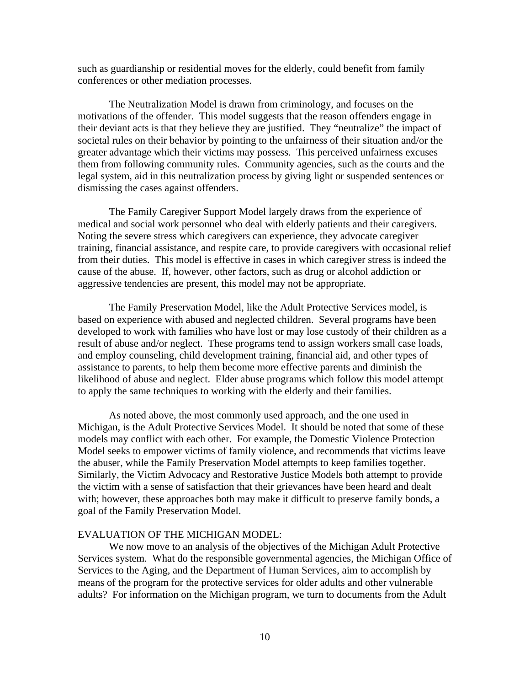such as guardianship or residential moves for the elderly, could benefit from family conferences or other mediation processes.

The Neutralization Model is drawn from criminology, and focuses on the motivations of the offender. This model suggests that the reason offenders engage in their deviant acts is that they believe they are justified. They "neutralize" the impact of societal rules on their behavior by pointing to the unfairness of their situation and/or the greater advantage which their victims may possess. This perceived unfairness excuses them from following community rules. Community agencies, such as the courts and the legal system, aid in this neutralization process by giving light or suspended sentences or dismissing the cases against offenders.

The Family Caregiver Support Model largely draws from the experience of medical and social work personnel who deal with elderly patients and their caregivers. Noting the severe stress which caregivers can experience, they advocate caregiver training, financial assistance, and respite care, to provide caregivers with occasional relief from their duties. This model is effective in cases in which caregiver stress is indeed the cause of the abuse. If, however, other factors, such as drug or alcohol addiction or aggressive tendencies are present, this model may not be appropriate.

The Family Preservation Model, like the Adult Protective Services model, is based on experience with abused and neglected children. Several programs have been developed to work with families who have lost or may lose custody of their children as a result of abuse and/or neglect. These programs tend to assign workers small case loads, and employ counseling, child development training, financial aid, and other types of assistance to parents, to help them become more effective parents and diminish the likelihood of abuse and neglect. Elder abuse programs which follow this model attempt to apply the same techniques to working with the elderly and their families.

As noted above, the most commonly used approach, and the one used in Michigan, is the Adult Protective Services Model. It should be noted that some of these models may conflict with each other. For example, the Domestic Violence Protection Model seeks to empower victims of family violence, and recommends that victims leave the abuser, while the Family Preservation Model attempts to keep families together. Similarly, the Victim Advocacy and Restorative Justice Models both attempt to provide the victim with a sense of satisfaction that their grievances have been heard and dealt with; however, these approaches both may make it difficult to preserve family bonds, a goal of the Family Preservation Model.

### EVALUATION OF THE MICHIGAN MODEL:

 We now move to an analysis of the objectives of the Michigan Adult Protective Services system. What do the responsible governmental agencies, the Michigan Office of Services to the Aging, and the Department of Human Services, aim to accomplish by means of the program for the protective services for older adults and other vulnerable adults? For information on the Michigan program, we turn to documents from the Adult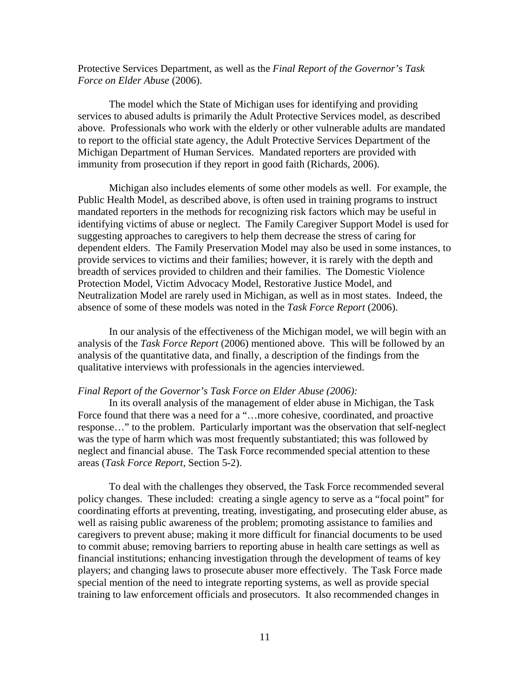Protective Services Department, as well as the *Final Report of the Governor's Task Force on Elder Abuse* (2006).

The model which the State of Michigan uses for identifying and providing services to abused adults is primarily the Adult Protective Services model, as described above. Professionals who work with the elderly or other vulnerable adults are mandated to report to the official state agency, the Adult Protective Services Department of the Michigan Department of Human Services. Mandated reporters are provided with immunity from prosecution if they report in good faith (Richards, 2006).

Michigan also includes elements of some other models as well. For example, the Public Health Model, as described above, is often used in training programs to instruct mandated reporters in the methods for recognizing risk factors which may be useful in identifying victims of abuse or neglect. The Family Caregiver Support Model is used for suggesting approaches to caregivers to help them decrease the stress of caring for dependent elders. The Family Preservation Model may also be used in some instances, to provide services to victims and their families; however, it is rarely with the depth and breadth of services provided to children and their families. The Domestic Violence Protection Model, Victim Advocacy Model, Restorative Justice Model, and Neutralization Model are rarely used in Michigan, as well as in most states. Indeed, the absence of some of these models was noted in the *Task Force Report* (2006).

In our analysis of the effectiveness of the Michigan model, we will begin with an analysis of the *Task Force Report* (2006) mentioned above. This will be followed by an analysis of the quantitative data, and finally, a description of the findings from the qualitative interviews with professionals in the agencies interviewed.

#### *Final Report of the Governor's Task Force on Elder Abuse (2006):*

In its overall analysis of the management of elder abuse in Michigan, the Task Force found that there was a need for a "…more cohesive, coordinated, and proactive response…" to the problem. Particularly important was the observation that self-neglect was the type of harm which was most frequently substantiated; this was followed by neglect and financial abuse. The Task Force recommended special attention to these areas (*Task Force Report*, Section 5-2).

To deal with the challenges they observed, the Task Force recommended several policy changes. These included: creating a single agency to serve as a "focal point" for coordinating efforts at preventing, treating, investigating, and prosecuting elder abuse, as well as raising public awareness of the problem; promoting assistance to families and caregivers to prevent abuse; making it more difficult for financial documents to be used to commit abuse; removing barriers to reporting abuse in health care settings as well as financial institutions; enhancing investigation through the development of teams of key players; and changing laws to prosecute abuser more effectively. The Task Force made special mention of the need to integrate reporting systems, as well as provide special training to law enforcement officials and prosecutors. It also recommended changes in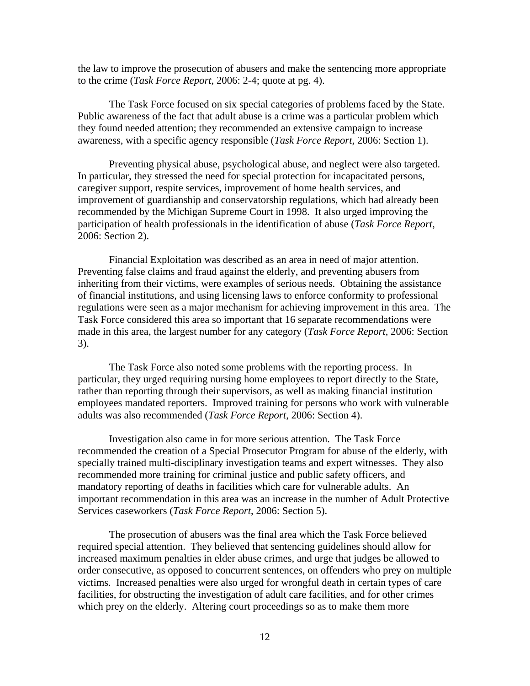the law to improve the prosecution of abusers and make the sentencing more appropriate to the crime (*Task Force Report*, 2006: 2-4; quote at pg. 4).

The Task Force focused on six special categories of problems faced by the State. Public awareness of the fact that adult abuse is a crime was a particular problem which they found needed attention; they recommended an extensive campaign to increase awareness, with a specific agency responsible (*Task Force Report*, 2006: Section 1).

Preventing physical abuse, psychological abuse, and neglect were also targeted. In particular, they stressed the need for special protection for incapacitated persons, caregiver support, respite services, improvement of home health services, and improvement of guardianship and conservatorship regulations, which had already been recommended by the Michigan Supreme Court in 1998. It also urged improving the participation of health professionals in the identification of abuse (*Task Force Report*, 2006: Section 2).

Financial Exploitation was described as an area in need of major attention. Preventing false claims and fraud against the elderly, and preventing abusers from inheriting from their victims, were examples of serious needs. Obtaining the assistance of financial institutions, and using licensing laws to enforce conformity to professional regulations were seen as a major mechanism for achieving improvement in this area. The Task Force considered this area so important that 16 separate recommendations were made in this area, the largest number for any category (*Task Force Report*, 2006: Section 3).

The Task Force also noted some problems with the reporting process. In particular, they urged requiring nursing home employees to report directly to the State, rather than reporting through their supervisors, as well as making financial institution employees mandated reporters. Improved training for persons who work with vulnerable adults was also recommended (*Task Force Report*, 2006: Section 4).

 Investigation also came in for more serious attention. The Task Force recommended the creation of a Special Prosecutor Program for abuse of the elderly, with specially trained multi-disciplinary investigation teams and expert witnesses. They also recommended more training for criminal justice and public safety officers, and mandatory reporting of deaths in facilities which care for vulnerable adults. An important recommendation in this area was an increase in the number of Adult Protective Services caseworkers (*Task Force Report*, 2006: Section 5).

The prosecution of abusers was the final area which the Task Force believed required special attention. They believed that sentencing guidelines should allow for increased maximum penalties in elder abuse crimes, and urge that judges be allowed to order consecutive, as opposed to concurrent sentences, on offenders who prey on multiple victims. Increased penalties were also urged for wrongful death in certain types of care facilities, for obstructing the investigation of adult care facilities, and for other crimes which prey on the elderly. Altering court proceedings so as to make them more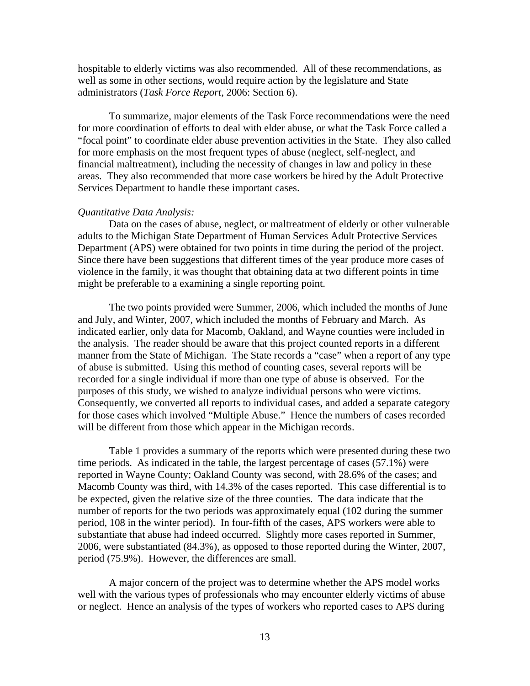hospitable to elderly victims was also recommended. All of these recommendations, as well as some in other sections, would require action by the legislature and State administrators (*Task Force Report*, 2006: Section 6).

 To summarize, major elements of the Task Force recommendations were the need for more coordination of efforts to deal with elder abuse, or what the Task Force called a "focal point" to coordinate elder abuse prevention activities in the State. They also called for more emphasis on the most frequent types of abuse (neglect, self-neglect, and financial maltreatment), including the necessity of changes in law and policy in these areas. They also recommended that more case workers be hired by the Adult Protective Services Department to handle these important cases.

#### *Quantitative Data Analysis:*

 Data on the cases of abuse, neglect, or maltreatment of elderly or other vulnerable adults to the Michigan State Department of Human Services Adult Protective Services Department (APS) were obtained for two points in time during the period of the project. Since there have been suggestions that different times of the year produce more cases of violence in the family, it was thought that obtaining data at two different points in time might be preferable to a examining a single reporting point.

 The two points provided were Summer, 2006, which included the months of June and July, and Winter, 2007, which included the months of February and March. As indicated earlier, only data for Macomb, Oakland, and Wayne counties were included in the analysis. The reader should be aware that this project counted reports in a different manner from the State of Michigan. The State records a "case" when a report of any type of abuse is submitted. Using this method of counting cases, several reports will be recorded for a single individual if more than one type of abuse is observed. For the purposes of this study, we wished to analyze individual persons who were victims. Consequently, we converted all reports to individual cases, and added a separate category for those cases which involved "Multiple Abuse." Hence the numbers of cases recorded will be different from those which appear in the Michigan records.

Table 1 provides a summary of the reports which were presented during these two time periods. As indicated in the table, the largest percentage of cases (57.1%) were reported in Wayne County; Oakland County was second, with 28.6% of the cases; and Macomb County was third, with 14.3% of the cases reported. This case differential is to be expected, given the relative size of the three counties. The data indicate that the number of reports for the two periods was approximately equal (102 during the summer period, 108 in the winter period). In four-fifth of the cases, APS workers were able to substantiate that abuse had indeed occurred. Slightly more cases reported in Summer, 2006, were substantiated (84.3%), as opposed to those reported during the Winter, 2007, period (75.9%). However, the differences are small.

 A major concern of the project was to determine whether the APS model works well with the various types of professionals who may encounter elderly victims of abuse or neglect. Hence an analysis of the types of workers who reported cases to APS during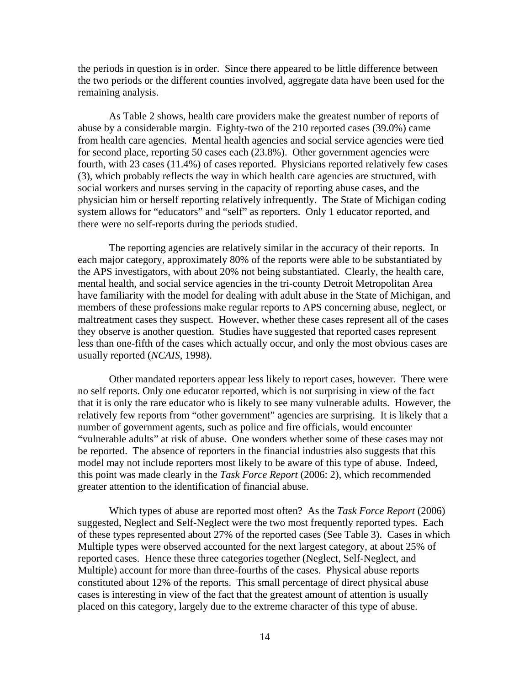the periods in question is in order. Since there appeared to be little difference between the two periods or the different counties involved, aggregate data have been used for the remaining analysis.

 As Table 2 shows, health care providers make the greatest number of reports of abuse by a considerable margin. Eighty-two of the 210 reported cases (39.0%) came from health care agencies. Mental health agencies and social service agencies were tied for second place, reporting 50 cases each (23.8%). Other government agencies were fourth, with 23 cases (11.4%) of cases reported. Physicians reported relatively few cases (3), which probably reflects the way in which health care agencies are structured, with social workers and nurses serving in the capacity of reporting abuse cases, and the physician him or herself reporting relatively infrequently. The State of Michigan coding system allows for "educators" and "self" as reporters. Only 1 educator reported, and there were no self-reports during the periods studied.

 The reporting agencies are relatively similar in the accuracy of their reports. In each major category, approximately 80% of the reports were able to be substantiated by the APS investigators, with about 20% not being substantiated. Clearly, the health care, mental health, and social service agencies in the tri-county Detroit Metropolitan Area have familiarity with the model for dealing with adult abuse in the State of Michigan, and members of these professions make regular reports to APS concerning abuse, neglect, or maltreatment cases they suspect. However, whether these cases represent all of the cases they observe is another question. Studies have suggested that reported cases represent less than one-fifth of the cases which actually occur, and only the most obvious cases are usually reported (*NCAIS*, 1998).

Other mandated reporters appear less likely to report cases, however. There were no self reports. Only one educator reported, which is not surprising in view of the fact that it is only the rare educator who is likely to see many vulnerable adults. However, the relatively few reports from "other government" agencies are surprising. It is likely that a number of government agents, such as police and fire officials, would encounter "vulnerable adults" at risk of abuse. One wonders whether some of these cases may not be reported. The absence of reporters in the financial industries also suggests that this model may not include reporters most likely to be aware of this type of abuse. Indeed, this point was made clearly in the *Task Force Report* (2006: 2), which recommended greater attention to the identification of financial abuse.

 Which types of abuse are reported most often? As the *Task Force Report* (2006) suggested, Neglect and Self-Neglect were the two most frequently reported types. Each of these types represented about 27% of the reported cases (See Table 3). Cases in which Multiple types were observed accounted for the next largest category, at about 25% of reported cases. Hence these three categories together (Neglect, Self-Neglect, and Multiple) account for more than three-fourths of the cases. Physical abuse reports constituted about 12% of the reports. This small percentage of direct physical abuse cases is interesting in view of the fact that the greatest amount of attention is usually placed on this category, largely due to the extreme character of this type of abuse.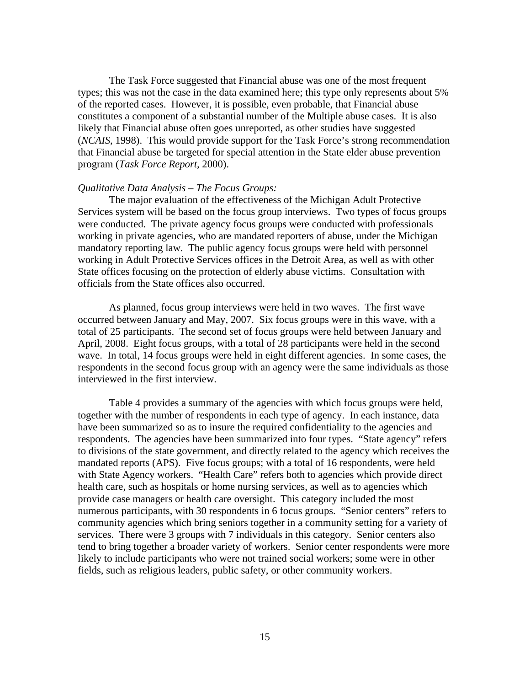The Task Force suggested that Financial abuse was one of the most frequent types; this was not the case in the data examined here; this type only represents about 5% of the reported cases. However, it is possible, even probable, that Financial abuse constitutes a component of a substantial number of the Multiple abuse cases. It is also likely that Financial abuse often goes unreported, as other studies have suggested (*NCAIS*, 1998). This would provide support for the Task Force's strong recommendation that Financial abuse be targeted for special attention in the State elder abuse prevention program (*Task Force Report,* 2000).

#### *Qualitative Data Analysis – The Focus Groups:*

 The major evaluation of the effectiveness of the Michigan Adult Protective Services system will be based on the focus group interviews. Two types of focus groups were conducted. The private agency focus groups were conducted with professionals working in private agencies, who are mandated reporters of abuse, under the Michigan mandatory reporting law. The public agency focus groups were held with personnel working in Adult Protective Services offices in the Detroit Area, as well as with other State offices focusing on the protection of elderly abuse victims. Consultation with officials from the State offices also occurred.

As planned, focus group interviews were held in two waves. The first wave occurred between January and May, 2007. Six focus groups were in this wave, with a total of 25 participants. The second set of focus groups were held between January and April, 2008. Eight focus groups, with a total of 28 participants were held in the second wave. In total, 14 focus groups were held in eight different agencies. In some cases, the respondents in the second focus group with an agency were the same individuals as those interviewed in the first interview.

Table 4 provides a summary of the agencies with which focus groups were held, together with the number of respondents in each type of agency. In each instance, data have been summarized so as to insure the required confidentiality to the agencies and respondents. The agencies have been summarized into four types. "State agency" refers to divisions of the state government, and directly related to the agency which receives the mandated reports (APS). Five focus groups; with a total of 16 respondents, were held with State Agency workers. "Health Care" refers both to agencies which provide direct health care, such as hospitals or home nursing services, as well as to agencies which provide case managers or health care oversight. This category included the most numerous participants, with 30 respondents in 6 focus groups. "Senior centers" refers to community agencies which bring seniors together in a community setting for a variety of services. There were 3 groups with 7 individuals in this category. Senior centers also tend to bring together a broader variety of workers. Senior center respondents were more likely to include participants who were not trained social workers; some were in other fields, such as religious leaders, public safety, or other community workers.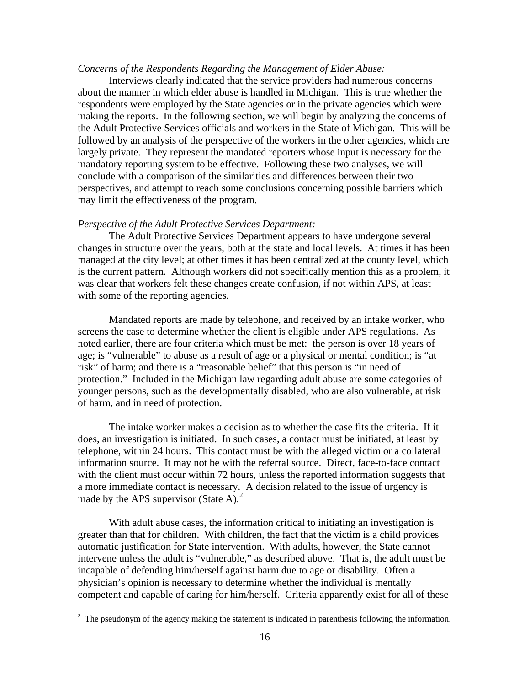#### *Concerns of the Respondents Regarding the Management of Elder Abuse:*

 Interviews clearly indicated that the service providers had numerous concerns about the manner in which elder abuse is handled in Michigan. This is true whether the respondents were employed by the State agencies or in the private agencies which were making the reports. In the following section, we will begin by analyzing the concerns of the Adult Protective Services officials and workers in the State of Michigan. This will be followed by an analysis of the perspective of the workers in the other agencies, which are largely private. They represent the mandated reporters whose input is necessary for the mandatory reporting system to be effective. Following these two analyses, we will conclude with a comparison of the similarities and differences between their two perspectives, and attempt to reach some conclusions concerning possible barriers which may limit the effectiveness of the program.

#### *Perspective of the Adult Protective Services Department:*

 The Adult Protective Services Department appears to have undergone several changes in structure over the years, both at the state and local levels. At times it has been managed at the city level; at other times it has been centralized at the county level, which is the current pattern. Although workers did not specifically mention this as a problem, it was clear that workers felt these changes create confusion, if not within APS, at least with some of the reporting agencies.

Mandated reports are made by telephone, and received by an intake worker, who screens the case to determine whether the client is eligible under APS regulations. As noted earlier, there are four criteria which must be met: the person is over 18 years of age; is "vulnerable" to abuse as a result of age or a physical or mental condition; is "at risk" of harm; and there is a "reasonable belief" that this person is "in need of protection." Included in the Michigan law regarding adult abuse are some categories of younger persons, such as the developmentally disabled, who are also vulnerable, at risk of harm, and in need of protection.

The intake worker makes a decision as to whether the case fits the criteria. If it does, an investigation is initiated. In such cases, a contact must be initiated, at least by telephone, within 24 hours. This contact must be with the alleged victim or a collateral information source. It may not be with the referral source. Direct, face-to-face contact with the client must occur within 72 hours, unless the reported information suggests that a more immediate contact is necessary. A decision related to the issue of urgency is made by the APS supervisor (State A). $^{2}$  $^{2}$  $^{2}$ 

With adult abuse cases, the information critical to initiating an investigation is greater than that for children. With children, the fact that the victim is a child provides automatic justification for State intervention. With adults, however, the State cannot intervene unless the adult is "vulnerable," as described above. That is, the adult must be incapable of defending him/herself against harm due to age or disability. Often a physician's opinion is necessary to determine whether the individual is mentally competent and capable of caring for him/herself. Criteria apparently exist for all of these

 $\overline{a}$ 

<span id="page-17-0"></span> $2<sup>2</sup>$  The pseudonym of the agency making the statement is indicated in parenthesis following the information.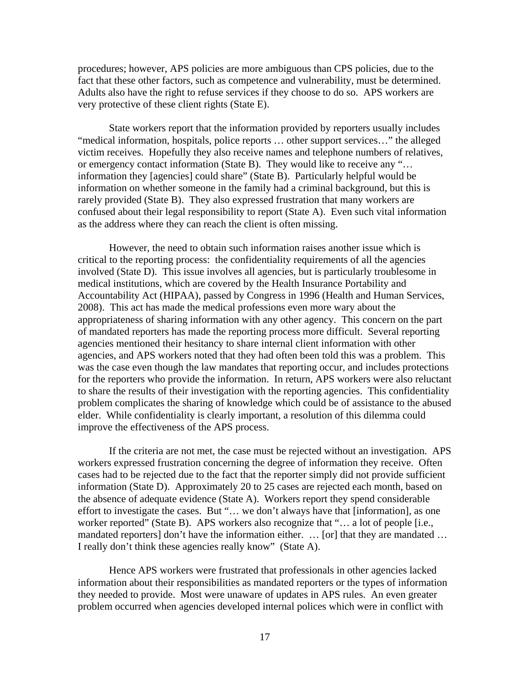procedures; however, APS policies are more ambiguous than CPS policies, due to the fact that these other factors, such as competence and vulnerability, must be determined. Adults also have the right to refuse services if they choose to do so. APS workers are very protective of these client rights (State E).

State workers report that the information provided by reporters usually includes "medical information, hospitals, police reports … other support services…" the alleged victim receives. Hopefully they also receive names and telephone numbers of relatives, or emergency contact information (State B). They would like to receive any "… information they [agencies] could share" (State B). Particularly helpful would be information on whether someone in the family had a criminal background, but this is rarely provided (State B). They also expressed frustration that many workers are confused about their legal responsibility to report (State A). Even such vital information as the address where they can reach the client is often missing.

However, the need to obtain such information raises another issue which is critical to the reporting process: the confidentiality requirements of all the agencies involved (State D). This issue involves all agencies, but is particularly troublesome in medical institutions, which are covered by the Health Insurance Portability and Accountability Act (HIPAA), passed by Congress in 1996 (Health and Human Services, 2008). This act has made the medical professions even more wary about the appropriateness of sharing information with any other agency. This concern on the part of mandated reporters has made the reporting process more difficult. Several reporting agencies mentioned their hesitancy to share internal client information with other agencies, and APS workers noted that they had often been told this was a problem. This was the case even though the law mandates that reporting occur, and includes protections for the reporters who provide the information. In return, APS workers were also reluctant to share the results of their investigation with the reporting agencies. This confidentiality problem complicates the sharing of knowledge which could be of assistance to the abused elder. While confidentiality is clearly important, a resolution of this dilemma could improve the effectiveness of the APS process.

If the criteria are not met, the case must be rejected without an investigation. APS workers expressed frustration concerning the degree of information they receive. Often cases had to be rejected due to the fact that the reporter simply did not provide sufficient information (State D). Approximately 20 to 25 cases are rejected each month, based on the absence of adequate evidence (State A). Workers report they spend considerable effort to investigate the cases. But "… we don't always have that [information], as one worker reported" (State B). APS workers also recognize that "... a lot of people [i.e., mandated reporters] don't have the information either. … [or] that they are mandated … I really don't think these agencies really know" (State A).

Hence APS workers were frustrated that professionals in other agencies lacked information about their responsibilities as mandated reporters or the types of information they needed to provide. Most were unaware of updates in APS rules. An even greater problem occurred when agencies developed internal polices which were in conflict with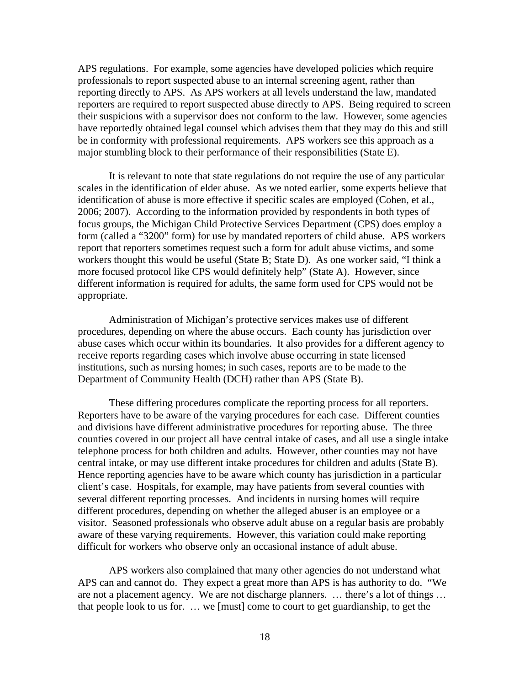APS regulations. For example, some agencies have developed policies which require professionals to report suspected abuse to an internal screening agent, rather than reporting directly to APS. As APS workers at all levels understand the law, mandated reporters are required to report suspected abuse directly to APS. Being required to screen their suspicions with a supervisor does not conform to the law. However, some agencies have reportedly obtained legal counsel which advises them that they may do this and still be in conformity with professional requirements. APS workers see this approach as a major stumbling block to their performance of their responsibilities (State E).

 It is relevant to note that state regulations do not require the use of any particular scales in the identification of elder abuse. As we noted earlier, some experts believe that identification of abuse is more effective if specific scales are employed (Cohen, et al., 2006; 2007). According to the information provided by respondents in both types of focus groups, the Michigan Child Protective Services Department (CPS) does employ a form (called a "3200" form) for use by mandated reporters of child abuse. APS workers report that reporters sometimes request such a form for adult abuse victims, and some workers thought this would be useful (State B; State D). As one worker said, "I think a more focused protocol like CPS would definitely help" (State A). However, since different information is required for adults, the same form used for CPS would not be appropriate.

 Administration of Michigan's protective services makes use of different procedures, depending on where the abuse occurs. Each county has jurisdiction over abuse cases which occur within its boundaries. It also provides for a different agency to receive reports regarding cases which involve abuse occurring in state licensed institutions, such as nursing homes; in such cases, reports are to be made to the Department of Community Health (DCH) rather than APS (State B).

These differing procedures complicate the reporting process for all reporters. Reporters have to be aware of the varying procedures for each case. Different counties and divisions have different administrative procedures for reporting abuse. The three counties covered in our project all have central intake of cases, and all use a single intake telephone process for both children and adults. However, other counties may not have central intake, or may use different intake procedures for children and adults (State B). Hence reporting agencies have to be aware which county has jurisdiction in a particular client's case. Hospitals, for example, may have patients from several counties with several different reporting processes. And incidents in nursing homes will require different procedures, depending on whether the alleged abuser is an employee or a visitor. Seasoned professionals who observe adult abuse on a regular basis are probably aware of these varying requirements. However, this variation could make reporting difficult for workers who observe only an occasional instance of adult abuse.

APS workers also complained that many other agencies do not understand what APS can and cannot do. They expect a great more than APS is has authority to do. "We are not a placement agency. We are not discharge planners. … there's a lot of things … that people look to us for. … we [must] come to court to get guardianship, to get the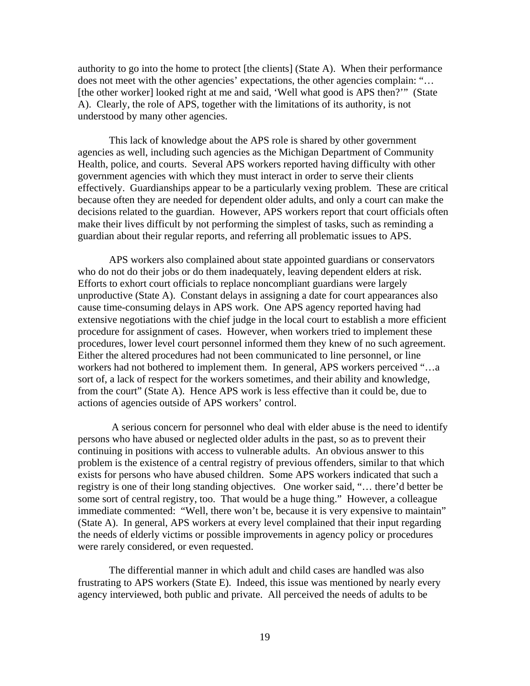authority to go into the home to protect [the clients] (State A). When their performance does not meet with the other agencies' expectations, the other agencies complain: "… [the other worker] looked right at me and said, 'Well what good is APS then?'" (State A). Clearly, the role of APS, together with the limitations of its authority, is not understood by many other agencies.

This lack of knowledge about the APS role is shared by other government agencies as well, including such agencies as the Michigan Department of Community Health, police, and courts. Several APS workers reported having difficulty with other government agencies with which they must interact in order to serve their clients effectively. Guardianships appear to be a particularly vexing problem. These are critical because often they are needed for dependent older adults, and only a court can make the decisions related to the guardian. However, APS workers report that court officials often make their lives difficult by not performing the simplest of tasks, such as reminding a guardian about their regular reports, and referring all problematic issues to APS.

APS workers also complained about state appointed guardians or conservators who do not do their jobs or do them inadequately, leaving dependent elders at risk. Efforts to exhort court officials to replace noncompliant guardians were largely unproductive (State A). Constant delays in assigning a date for court appearances also cause time-consuming delays in APS work. One APS agency reported having had extensive negotiations with the chief judge in the local court to establish a more efficient procedure for assignment of cases. However, when workers tried to implement these procedures, lower level court personnel informed them they knew of no such agreement. Either the altered procedures had not been communicated to line personnel, or line workers had not bothered to implement them. In general, APS workers perceived "…a sort of, a lack of respect for the workers sometimes, and their ability and knowledge, from the court" (State A). Hence APS work is less effective than it could be, due to actions of agencies outside of APS workers' control.

 A serious concern for personnel who deal with elder abuse is the need to identify persons who have abused or neglected older adults in the past, so as to prevent their continuing in positions with access to vulnerable adults. An obvious answer to this problem is the existence of a central registry of previous offenders, similar to that which exists for persons who have abused children. Some APS workers indicated that such a registry is one of their long standing objectives. One worker said, "… there'd better be some sort of central registry, too. That would be a huge thing." However, a colleague immediate commented: "Well, there won't be, because it is very expensive to maintain" (State A). In general, APS workers at every level complained that their input regarding the needs of elderly victims or possible improvements in agency policy or procedures were rarely considered, or even requested.

The differential manner in which adult and child cases are handled was also frustrating to APS workers (State E). Indeed, this issue was mentioned by nearly every agency interviewed, both public and private. All perceived the needs of adults to be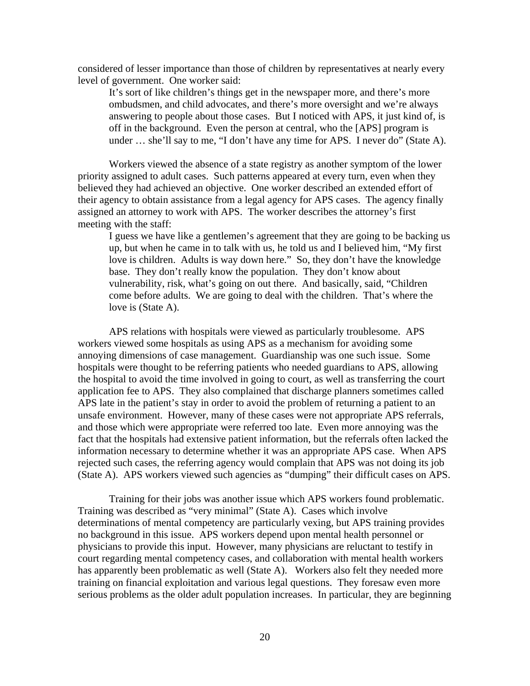considered of lesser importance than those of children by representatives at nearly every level of government. One worker said:

It's sort of like children's things get in the newspaper more, and there's more ombudsmen, and child advocates, and there's more oversight and we're always answering to people about those cases. But I noticed with APS, it just kind of, is off in the background. Even the person at central, who the [APS] program is under … she'll say to me, "I don't have any time for APS. I never do" (State A).

Workers viewed the absence of a state registry as another symptom of the lower priority assigned to adult cases. Such patterns appeared at every turn, even when they believed they had achieved an objective. One worker described an extended effort of their agency to obtain assistance from a legal agency for APS cases. The agency finally assigned an attorney to work with APS. The worker describes the attorney's first meeting with the staff:

I guess we have like a gentlemen's agreement that they are going to be backing us up, but when he came in to talk with us, he told us and I believed him, "My first love is children. Adults is way down here." So, they don't have the knowledge base. They don't really know the population. They don't know about vulnerability, risk, what's going on out there. And basically, said, "Children come before adults. We are going to deal with the children. That's where the love is (State A).

APS relations with hospitals were viewed as particularly troublesome. APS workers viewed some hospitals as using APS as a mechanism for avoiding some annoying dimensions of case management. Guardianship was one such issue. Some hospitals were thought to be referring patients who needed guardians to APS, allowing the hospital to avoid the time involved in going to court, as well as transferring the court application fee to APS. They also complained that discharge planners sometimes called APS late in the patient's stay in order to avoid the problem of returning a patient to an unsafe environment. However, many of these cases were not appropriate APS referrals, and those which were appropriate were referred too late. Even more annoying was the fact that the hospitals had extensive patient information, but the referrals often lacked the information necessary to determine whether it was an appropriate APS case. When APS rejected such cases, the referring agency would complain that APS was not doing its job (State A). APS workers viewed such agencies as "dumping" their difficult cases on APS.

Training for their jobs was another issue which APS workers found problematic. Training was described as "very minimal" (State A). Cases which involve determinations of mental competency are particularly vexing, but APS training provides no background in this issue. APS workers depend upon mental health personnel or physicians to provide this input. However, many physicians are reluctant to testify in court regarding mental competency cases, and collaboration with mental health workers has apparently been problematic as well (State A). Workers also felt they needed more training on financial exploitation and various legal questions. They foresaw even more serious problems as the older adult population increases. In particular, they are beginning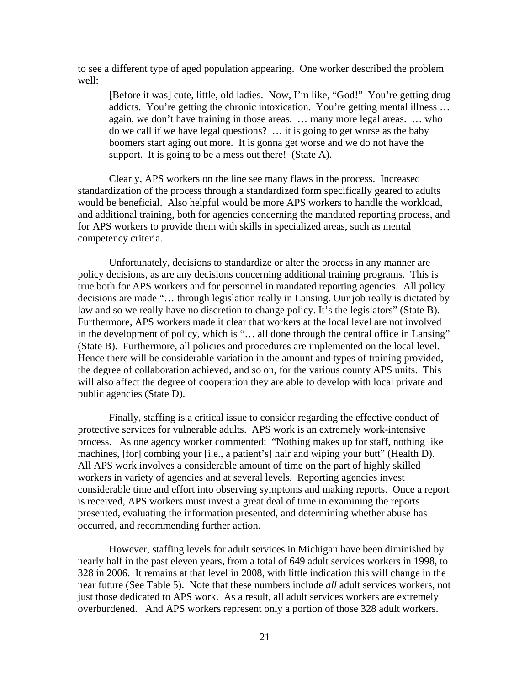to see a different type of aged population appearing. One worker described the problem well:

[Before it was] cute, little, old ladies. Now, I'm like, "God!" You're getting drug addicts. You're getting the chronic intoxication. You're getting mental illness … again, we don't have training in those areas. … many more legal areas. … who do we call if we have legal questions? … it is going to get worse as the baby boomers start aging out more. It is gonna get worse and we do not have the support. It is going to be a mess out there! (State A).

Clearly, APS workers on the line see many flaws in the process. Increased standardization of the process through a standardized form specifically geared to adults would be beneficial. Also helpful would be more APS workers to handle the workload, and additional training, both for agencies concerning the mandated reporting process, and for APS workers to provide them with skills in specialized areas, such as mental competency criteria.

Unfortunately, decisions to standardize or alter the process in any manner are policy decisions, as are any decisions concerning additional training programs. This is true both for APS workers and for personnel in mandated reporting agencies. All policy decisions are made "… through legislation really in Lansing. Our job really is dictated by law and so we really have no discretion to change policy. It's the legislators" (State B). Furthermore, APS workers made it clear that workers at the local level are not involved in the development of policy, which is "… all done through the central office in Lansing" (State B). Furthermore, all policies and procedures are implemented on the local level. Hence there will be considerable variation in the amount and types of training provided, the degree of collaboration achieved, and so on, for the various county APS units. This will also affect the degree of cooperation they are able to develop with local private and public agencies (State D).

Finally, staffing is a critical issue to consider regarding the effective conduct of protective services for vulnerable adults. APS work is an extremely work-intensive process. As one agency worker commented: "Nothing makes up for staff, nothing like machines, [for] combing your [i.e., a patient's] hair and wiping your butt" (Health D). All APS work involves a considerable amount of time on the part of highly skilled workers in variety of agencies and at several levels. Reporting agencies invest considerable time and effort into observing symptoms and making reports. Once a report is received, APS workers must invest a great deal of time in examining the reports presented, evaluating the information presented, and determining whether abuse has occurred, and recommending further action.

However, staffing levels for adult services in Michigan have been diminished by nearly half in the past eleven years, from a total of 649 adult services workers in 1998, to 328 in 2006. It remains at that level in 2008, with little indication this will change in the near future (See Table 5). Note that these numbers include *all* adult services workers, not just those dedicated to APS work. As a result, all adult services workers are extremely overburdened. And APS workers represent only a portion of those 328 adult workers.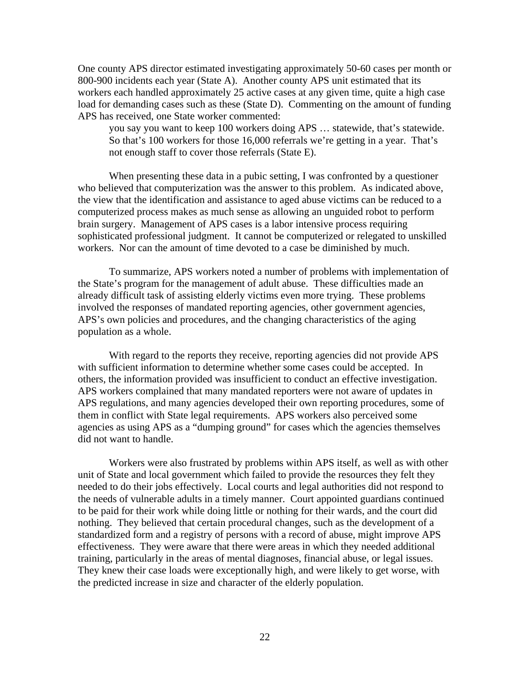One county APS director estimated investigating approximately 50-60 cases per month or 800-900 incidents each year (State A). Another county APS unit estimated that its workers each handled approximately 25 active cases at any given time, quite a high case load for demanding cases such as these (State D). Commenting on the amount of funding APS has received, one State worker commented:

you say you want to keep 100 workers doing APS … statewide, that's statewide. So that's 100 workers for those 16,000 referrals we're getting in a year. That's not enough staff to cover those referrals (State E).

When presenting these data in a pubic setting, I was confronted by a questioner who believed that computerization was the answer to this problem. As indicated above, the view that the identification and assistance to aged abuse victims can be reduced to a computerized process makes as much sense as allowing an unguided robot to perform brain surgery. Management of APS cases is a labor intensive process requiring sophisticated professional judgment. It cannot be computerized or relegated to unskilled workers. Nor can the amount of time devoted to a case be diminished by much.

 To summarize, APS workers noted a number of problems with implementation of the State's program for the management of adult abuse. These difficulties made an already difficult task of assisting elderly victims even more trying. These problems involved the responses of mandated reporting agencies, other government agencies, APS's own policies and procedures, and the changing characteristics of the aging population as a whole.

 With regard to the reports they receive, reporting agencies did not provide APS with sufficient information to determine whether some cases could be accepted. In others, the information provided was insufficient to conduct an effective investigation. APS workers complained that many mandated reporters were not aware of updates in APS regulations, and many agencies developed their own reporting procedures, some of them in conflict with State legal requirements. APS workers also perceived some agencies as using APS as a "dumping ground" for cases which the agencies themselves did not want to handle.

 Workers were also frustrated by problems within APS itself, as well as with other unit of State and local government which failed to provide the resources they felt they needed to do their jobs effectively. Local courts and legal authorities did not respond to the needs of vulnerable adults in a timely manner. Court appointed guardians continued to be paid for their work while doing little or nothing for their wards, and the court did nothing. They believed that certain procedural changes, such as the development of a standardized form and a registry of persons with a record of abuse, might improve APS effectiveness. They were aware that there were areas in which they needed additional training, particularly in the areas of mental diagnoses, financial abuse, or legal issues. They knew their case loads were exceptionally high, and were likely to get worse, with the predicted increase in size and character of the elderly population.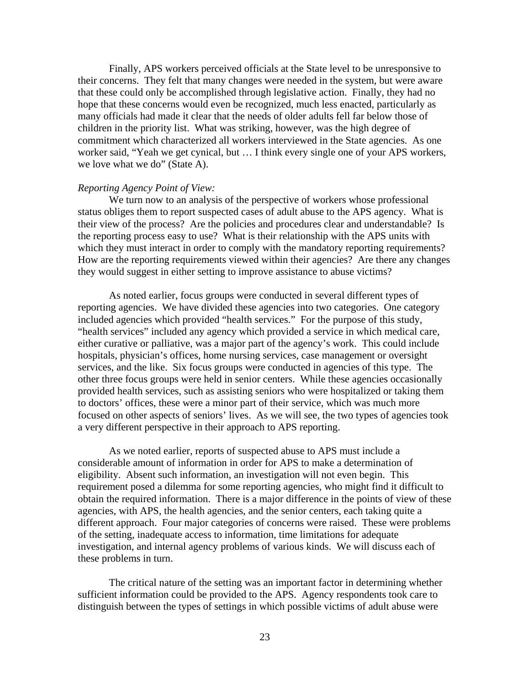Finally, APS workers perceived officials at the State level to be unresponsive to their concerns. They felt that many changes were needed in the system, but were aware that these could only be accomplished through legislative action. Finally, they had no hope that these concerns would even be recognized, much less enacted, particularly as many officials had made it clear that the needs of older adults fell far below those of children in the priority list. What was striking, however, was the high degree of commitment which characterized all workers interviewed in the State agencies. As one worker said, "Yeah we get cynical, but … I think every single one of your APS workers, we love what we do" (State A).

#### *Reporting Agency Point of View:*

 We turn now to an analysis of the perspective of workers whose professional status obliges them to report suspected cases of adult abuse to the APS agency. What is their view of the process? Are the policies and procedures clear and understandable? Is the reporting process easy to use? What is their relationship with the APS units with which they must interact in order to comply with the mandatory reporting requirements? How are the reporting requirements viewed within their agencies? Are there any changes they would suggest in either setting to improve assistance to abuse victims?

 As noted earlier, focus groups were conducted in several different types of reporting agencies. We have divided these agencies into two categories. One category included agencies which provided "health services." For the purpose of this study, "health services" included any agency which provided a service in which medical care, either curative or palliative, was a major part of the agency's work. This could include hospitals, physician's offices, home nursing services, case management or oversight services, and the like. Six focus groups were conducted in agencies of this type. The other three focus groups were held in senior centers. While these agencies occasionally provided health services, such as assisting seniors who were hospitalized or taking them to doctors' offices, these were a minor part of their service, which was much more focused on other aspects of seniors' lives. As we will see, the two types of agencies took a very different perspective in their approach to APS reporting.

 As we noted earlier, reports of suspected abuse to APS must include a considerable amount of information in order for APS to make a determination of eligibility. Absent such information, an investigation will not even begin. This requirement posed a dilemma for some reporting agencies, who might find it difficult to obtain the required information. There is a major difference in the points of view of these agencies, with APS, the health agencies, and the senior centers, each taking quite a different approach. Four major categories of concerns were raised. These were problems of the setting, inadequate access to information, time limitations for adequate investigation, and internal agency problems of various kinds. We will discuss each of these problems in turn.

 The critical nature of the setting was an important factor in determining whether sufficient information could be provided to the APS. Agency respondents took care to distinguish between the types of settings in which possible victims of adult abuse were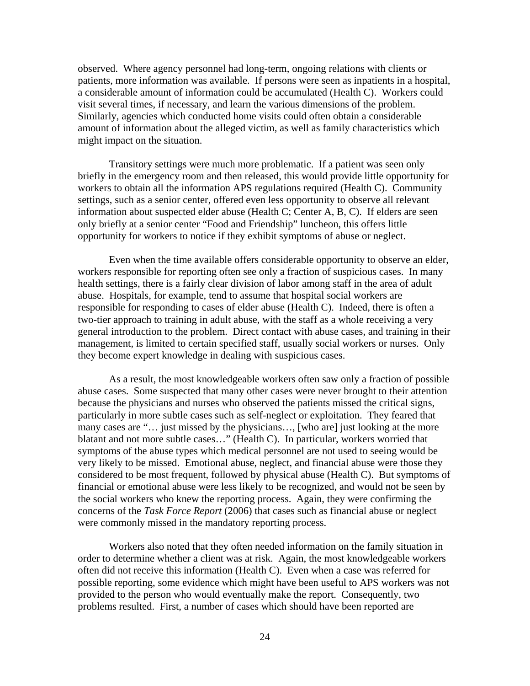observed. Where agency personnel had long-term, ongoing relations with clients or patients, more information was available. If persons were seen as inpatients in a hospital, a considerable amount of information could be accumulated (Health C). Workers could visit several times, if necessary, and learn the various dimensions of the problem. Similarly, agencies which conducted home visits could often obtain a considerable amount of information about the alleged victim, as well as family characteristics which might impact on the situation.

 Transitory settings were much more problematic. If a patient was seen only briefly in the emergency room and then released, this would provide little opportunity for workers to obtain all the information APS regulations required (Health C). Community settings, such as a senior center, offered even less opportunity to observe all relevant information about suspected elder abuse (Health C; Center A, B, C). If elders are seen only briefly at a senior center "Food and Friendship" luncheon, this offers little opportunity for workers to notice if they exhibit symptoms of abuse or neglect.

 Even when the time available offers considerable opportunity to observe an elder, workers responsible for reporting often see only a fraction of suspicious cases. In many health settings, there is a fairly clear division of labor among staff in the area of adult abuse. Hospitals, for example, tend to assume that hospital social workers are responsible for responding to cases of elder abuse (Health C). Indeed, there is often a two-tier approach to training in adult abuse, with the staff as a whole receiving a very general introduction to the problem. Direct contact with abuse cases, and training in their management, is limited to certain specified staff, usually social workers or nurses. Only they become expert knowledge in dealing with suspicious cases.

 As a result, the most knowledgeable workers often saw only a fraction of possible abuse cases. Some suspected that many other cases were never brought to their attention because the physicians and nurses who observed the patients missed the critical signs, particularly in more subtle cases such as self-neglect or exploitation. They feared that many cases are "… just missed by the physicians…, [who are] just looking at the more blatant and not more subtle cases…" (Health C). In particular, workers worried that symptoms of the abuse types which medical personnel are not used to seeing would be very likely to be missed. Emotional abuse, neglect, and financial abuse were those they considered to be most frequent, followed by physical abuse (Health C). But symptoms of financial or emotional abuse were less likely to be recognized, and would not be seen by the social workers who knew the reporting process. Again, they were confirming the concerns of the *Task Force Report* (2006) that cases such as financial abuse or neglect were commonly missed in the mandatory reporting process.

Workers also noted that they often needed information on the family situation in order to determine whether a client was at risk. Again, the most knowledgeable workers often did not receive this information (Health C). Even when a case was referred for possible reporting, some evidence which might have been useful to APS workers was not provided to the person who would eventually make the report. Consequently, two problems resulted. First, a number of cases which should have been reported are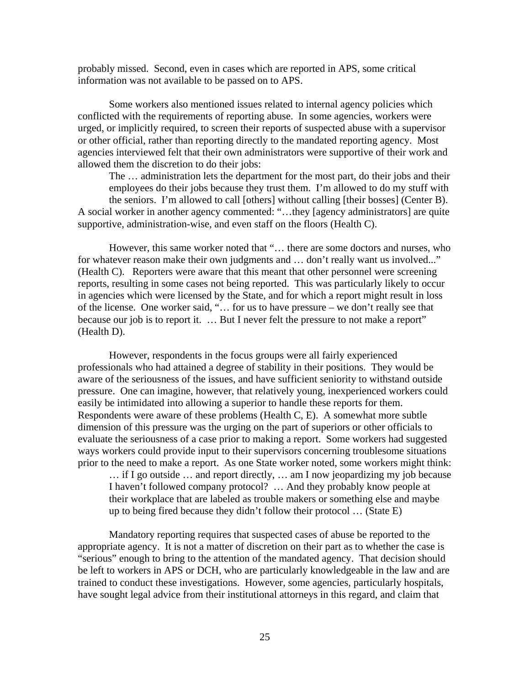probably missed. Second, even in cases which are reported in APS, some critical information was not available to be passed on to APS.

 Some workers also mentioned issues related to internal agency policies which conflicted with the requirements of reporting abuse. In some agencies, workers were urged, or implicitly required, to screen their reports of suspected abuse with a supervisor or other official, rather than reporting directly to the mandated reporting agency. Most agencies interviewed felt that their own administrators were supportive of their work and allowed them the discretion to do their jobs:

The … administration lets the department for the most part, do their jobs and their employees do their jobs because they trust them. I'm allowed to do my stuff with the seniors. I'm allowed to call [others] without calling [their bosses] (Center B). A social worker in another agency commented: "…they [agency administrators] are quite supportive, administration-wise, and even staff on the floors (Health C).

However, this same worker noted that "… there are some doctors and nurses, who for whatever reason make their own judgments and … don't really want us involved..." (Health C). Reporters were aware that this meant that other personnel were screening reports, resulting in some cases not being reported. This was particularly likely to occur in agencies which were licensed by the State, and for which a report might result in loss of the license. One worker said, "… for us to have pressure – we don't really see that because our job is to report it. ... But I never felt the pressure to not make a report" (Health D).

However, respondents in the focus groups were all fairly experienced professionals who had attained a degree of stability in their positions. They would be aware of the seriousness of the issues, and have sufficient seniority to withstand outside pressure. One can imagine, however, that relatively young, inexperienced workers could easily be intimidated into allowing a superior to handle these reports for them. Respondents were aware of these problems (Health C, E). A somewhat more subtle dimension of this pressure was the urging on the part of superiors or other officials to evaluate the seriousness of a case prior to making a report. Some workers had suggested ways workers could provide input to their supervisors concerning troublesome situations prior to the need to make a report. As one State worker noted, some workers might think: … if I go outside … and report directly, … am I now jeopardizing my job because I haven't followed company protocol? … And they probably know people at their workplace that are labeled as trouble makers or something else and maybe up to being fired because they didn't follow their protocol … (State E)

Mandatory reporting requires that suspected cases of abuse be reported to the appropriate agency. It is not a matter of discretion on their part as to whether the case is "serious" enough to bring to the attention of the mandated agency. That decision should be left to workers in APS or DCH, who are particularly knowledgeable in the law and are trained to conduct these investigations. However, some agencies, particularly hospitals, have sought legal advice from their institutional attorneys in this regard, and claim that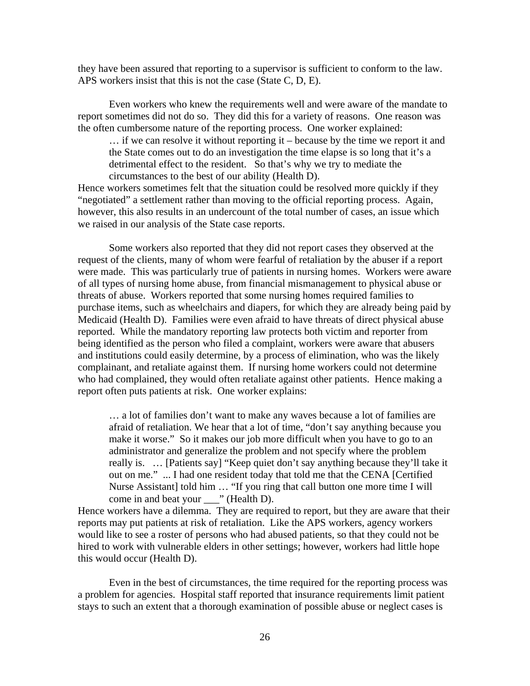they have been assured that reporting to a supervisor is sufficient to conform to the law. APS workers insist that this is not the case (State C, D, E).

 Even workers who knew the requirements well and were aware of the mandate to report sometimes did not do so. They did this for a variety of reasons. One reason was the often cumbersome nature of the reporting process. One worker explained:

… if we can resolve it without reporting it – because by the time we report it and the State comes out to do an investigation the time elapse is so long that it's a detrimental effect to the resident. So that's why we try to mediate the circumstances to the best of our ability (Health D).

Hence workers sometimes felt that the situation could be resolved more quickly if they "negotiated" a settlement rather than moving to the official reporting process. Again, however, this also results in an undercount of the total number of cases, an issue which we raised in our analysis of the State case reports.

Some workers also reported that they did not report cases they observed at the request of the clients, many of whom were fearful of retaliation by the abuser if a report were made. This was particularly true of patients in nursing homes. Workers were aware of all types of nursing home abuse, from financial mismanagement to physical abuse or threats of abuse. Workers reported that some nursing homes required families to purchase items, such as wheelchairs and diapers, for which they are already being paid by Medicaid (Health D). Families were even afraid to have threats of direct physical abuse reported. While the mandatory reporting law protects both victim and reporter from being identified as the person who filed a complaint, workers were aware that abusers and institutions could easily determine, by a process of elimination, who was the likely complainant, and retaliate against them. If nursing home workers could not determine who had complained, they would often retaliate against other patients. Hence making a report often puts patients at risk. One worker explains:

… a lot of families don't want to make any waves because a lot of families are afraid of retaliation. We hear that a lot of time, "don't say anything because you make it worse." So it makes our job more difficult when you have to go to an administrator and generalize the problem and not specify where the problem really is. … [Patients say] "Keep quiet don't say anything because they'll take it out on me." ... I had one resident today that told me that the CENA [Certified Nurse Assistant] told him ... "If you ring that call button one more time I will come in and beat your \_\_\_" (Health D).

Hence workers have a dilemma. They are required to report, but they are aware that their reports may put patients at risk of retaliation. Like the APS workers, agency workers would like to see a roster of persons who had abused patients, so that they could not be hired to work with vulnerable elders in other settings; however, workers had little hope this would occur (Health D).

 Even in the best of circumstances, the time required for the reporting process was a problem for agencies. Hospital staff reported that insurance requirements limit patient stays to such an extent that a thorough examination of possible abuse or neglect cases is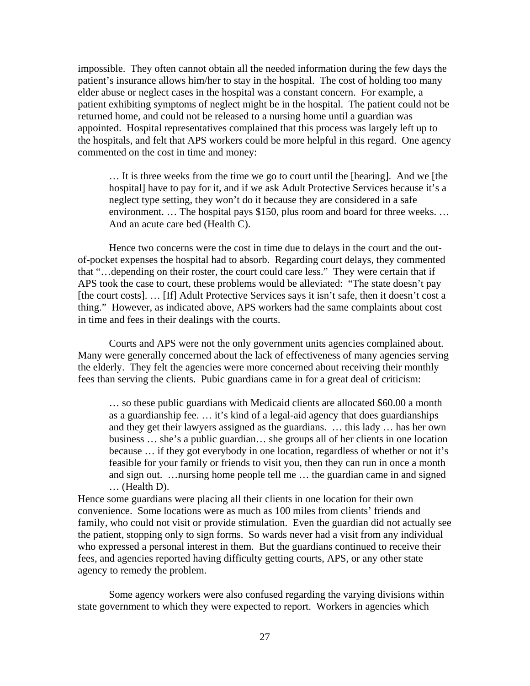impossible. They often cannot obtain all the needed information during the few days the patient's insurance allows him/her to stay in the hospital. The cost of holding too many elder abuse or neglect cases in the hospital was a constant concern. For example, a patient exhibiting symptoms of neglect might be in the hospital. The patient could not be returned home, and could not be released to a nursing home until a guardian was appointed. Hospital representatives complained that this process was largely left up to the hospitals, and felt that APS workers could be more helpful in this regard. One agency commented on the cost in time and money:

… It is three weeks from the time we go to court until the [hearing]. And we [the hospital] have to pay for it, and if we ask Adult Protective Services because it's a neglect type setting, they won't do it because they are considered in a safe environment. ... The hospital pays \$150, plus room and board for three weeks. ... And an acute care bed (Health C).

Hence two concerns were the cost in time due to delays in the court and the outof-pocket expenses the hospital had to absorb. Regarding court delays, they commented that "…depending on their roster, the court could care less." They were certain that if APS took the case to court, these problems would be alleviated: "The state doesn't pay [the court costs]. ... [If] Adult Protective Services says it isn't safe, then it doesn't cost a thing." However, as indicated above, APS workers had the same complaints about cost in time and fees in their dealings with the courts.

 Courts and APS were not the only government units agencies complained about. Many were generally concerned about the lack of effectiveness of many agencies serving the elderly. They felt the agencies were more concerned about receiving their monthly fees than serving the clients. Pubic guardians came in for a great deal of criticism:

… so these public guardians with Medicaid clients are allocated \$60.00 a month as a guardianship fee. … it's kind of a legal-aid agency that does guardianships and they get their lawyers assigned as the guardians. … this lady … has her own business … she's a public guardian… she groups all of her clients in one location because … if they got everybody in one location, regardless of whether or not it's feasible for your family or friends to visit you, then they can run in once a month and sign out. …nursing home people tell me … the guardian came in and signed … (Health D).

Hence some guardians were placing all their clients in one location for their own convenience. Some locations were as much as 100 miles from clients' friends and family, who could not visit or provide stimulation. Even the guardian did not actually see the patient, stopping only to sign forms. So wards never had a visit from any individual who expressed a personal interest in them. But the guardians continued to receive their fees, and agencies reported having difficulty getting courts, APS, or any other state agency to remedy the problem.

Some agency workers were also confused regarding the varying divisions within state government to which they were expected to report. Workers in agencies which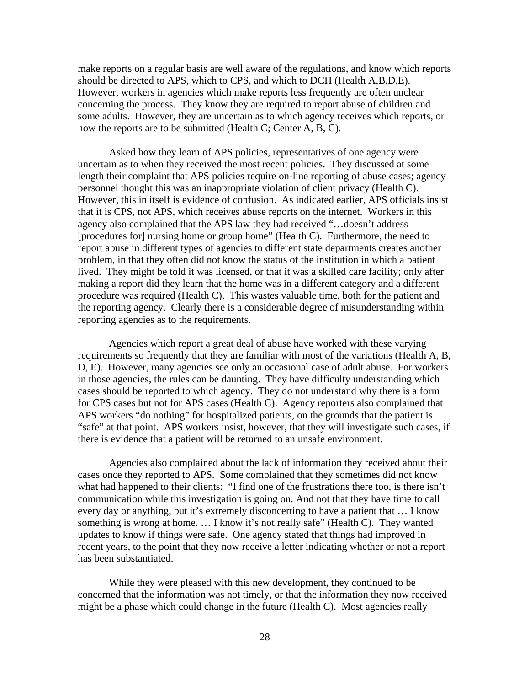make reports on a regular basis are well aware of the regulations, and know which reports should be directed to APS, which to CPS, and which to DCH (Health A,B,D,E). However, workers in agencies which make reports less frequently are often unclear concerning the process. They know they are required to report abuse of children and some adults. However, they are uncertain as to which agency receives which reports, or how the reports are to be submitted (Health C; Center A, B, C).

Asked how they learn of APS policies, representatives of one agency were uncertain as to when they received the most recent policies. They discussed at some length their complaint that APS policies require on-line reporting of abuse cases; agency personnel thought this was an inappropriate violation of client privacy (Health C). However, this in itself is evidence of confusion. As indicated earlier, APS officials insist that it is CPS, not APS, which receives abuse reports on the internet. Workers in this agency also complained that the APS law they had received "…doesn't address [procedures for] nursing home or group home" (Health C). Furthermore, the need to report abuse in different types of agencies to different state departments creates another problem, in that they often did not know the status of the institution in which a patient lived. They might be told it was licensed, or that it was a skilled care facility; only after making a report did they learn that the home was in a different category and a different procedure was required (Health C). This wastes valuable time, both for the patient and the reporting agency. Clearly there is a considerable degree of misunderstanding within reporting agencies as to the requirements.

Agencies which report a great deal of abuse have worked with these varying requirements so frequently that they are familiar with most of the variations (Health A, B, D, E). However, many agencies see only an occasional case of adult abuse. For workers in those agencies, the rules can be daunting. They have difficulty understanding which cases should be reported to which agency. They do not understand why there is a form for CPS cases but not for APS cases (Health C). Agency reporters also complained that APS workers "do nothing" for hospitalized patients, on the grounds that the patient is "safe" at that point. APS workers insist, however, that they will investigate such cases, if there is evidence that a patient will be returned to an unsafe environment.

Agencies also complained about the lack of information they received about their cases once they reported to APS. Some complained that they sometimes did not know what had happened to their clients: "I find one of the frustrations there too, is there isn't communication while this investigation is going on. And not that they have time to call every day or anything, but it's extremely disconcerting to have a patient that … I know something is wrong at home. … I know it's not really safe" (Health C). They wanted updates to know if things were safe. One agency stated that things had improved in recent years, to the point that they now receive a letter indicating whether or not a report has been substantiated.

While they were pleased with this new development, they continued to be concerned that the information was not timely, or that the information they now received might be a phase which could change in the future (Health C). Most agencies really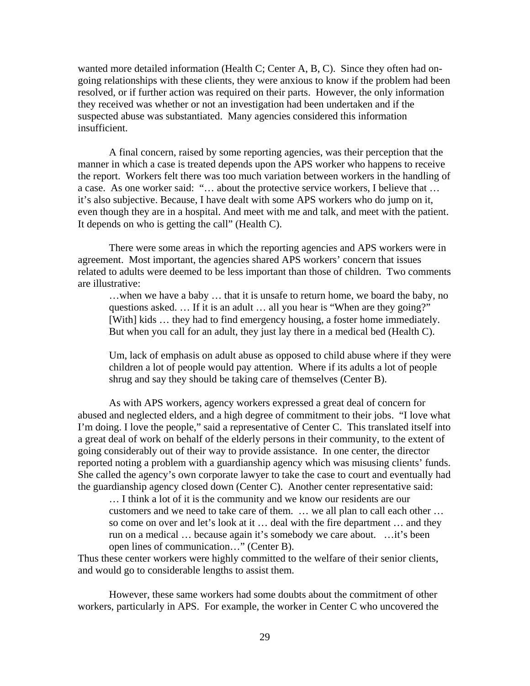wanted more detailed information (Health C; Center A, B, C). Since they often had ongoing relationships with these clients, they were anxious to know if the problem had been resolved, or if further action was required on their parts. However, the only information they received was whether or not an investigation had been undertaken and if the suspected abuse was substantiated. Many agencies considered this information insufficient.

A final concern, raised by some reporting agencies, was their perception that the manner in which a case is treated depends upon the APS worker who happens to receive the report. Workers felt there was too much variation between workers in the handling of a case. As one worker said: "… about the protective service workers, I believe that … it's also subjective. Because, I have dealt with some APS workers who do jump on it, even though they are in a hospital. And meet with me and talk, and meet with the patient. It depends on who is getting the call" (Health C).

 There were some areas in which the reporting agencies and APS workers were in agreement. Most important, the agencies shared APS workers' concern that issues related to adults were deemed to be less important than those of children. Two comments are illustrative:

…when we have a baby … that it is unsafe to return home, we board the baby, no questions asked. … If it is an adult … all you hear is "When are they going?" [With] kids … they had to find emergency housing, a foster home immediately. But when you call for an adult, they just lay there in a medical bed (Health C).

Um, lack of emphasis on adult abuse as opposed to child abuse where if they were children a lot of people would pay attention. Where if its adults a lot of people shrug and say they should be taking care of themselves (Center B).

 As with APS workers, agency workers expressed a great deal of concern for abused and neglected elders, and a high degree of commitment to their jobs. "I love what I'm doing. I love the people," said a representative of Center C. This translated itself into a great deal of work on behalf of the elderly persons in their community, to the extent of going considerably out of their way to provide assistance. In one center, the director reported noting a problem with a guardianship agency which was misusing clients' funds. She called the agency's own corporate lawyer to take the case to court and eventually had the guardianship agency closed down (Center C). Another center representative said:

… I think a lot of it is the community and we know our residents are our customers and we need to take care of them. … we all plan to call each other … so come on over and let's look at it … deal with the fire department … and they run on a medical … because again it's somebody we care about. …it's been open lines of communication…" (Center B).

Thus these center workers were highly committed to the welfare of their senior clients, and would go to considerable lengths to assist them.

However, these same workers had some doubts about the commitment of other workers, particularly in APS. For example, the worker in Center C who uncovered the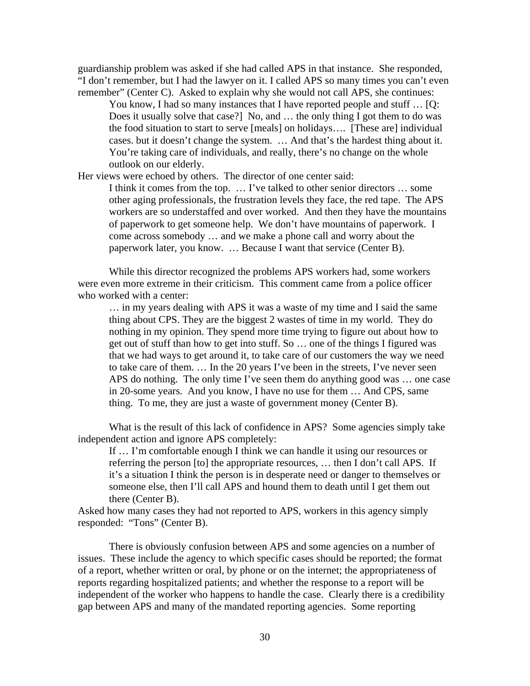guardianship problem was asked if she had called APS in that instance. She responded, "I don't remember, but I had the lawyer on it. I called APS so many times you can't even remember" (Center C). Asked to explain why she would not call APS, she continues:

You know, I had so many instances that I have reported people and stuff ... [Q: Does it usually solve that case?] No, and … the only thing I got them to do was the food situation to start to serve [meals] on holidays…. [These are] individual cases. but it doesn't change the system. … And that's the hardest thing about it. You're taking care of individuals, and really, there's no change on the whole outlook on our elderly.

Her views were echoed by others. The director of one center said:

I think it comes from the top. … I've talked to other senior directors … some other aging professionals, the frustration levels they face, the red tape. The APS workers are so understaffed and over worked. And then they have the mountains of paperwork to get someone help. We don't have mountains of paperwork. I come across somebody … and we make a phone call and worry about the paperwork later, you know. … Because I want that service (Center B).

While this director recognized the problems APS workers had, some workers were even more extreme in their criticism. This comment came from a police officer who worked with a center:

… in my years dealing with APS it was a waste of my time and I said the same thing about CPS. They are the biggest 2 wastes of time in my world. They do nothing in my opinion. They spend more time trying to figure out about how to get out of stuff than how to get into stuff. So … one of the things I figured was that we had ways to get around it, to take care of our customers the way we need to take care of them. … In the 20 years I've been in the streets, I've never seen APS do nothing. The only time I've seen them do anything good was … one case in 20-some years. And you know, I have no use for them … And CPS, same thing. To me, they are just a waste of government money (Center B).

What is the result of this lack of confidence in APS? Some agencies simply take independent action and ignore APS completely:

If … I'm comfortable enough I think we can handle it using our resources or referring the person [to] the appropriate resources, … then I don't call APS. If it's a situation I think the person is in desperate need or danger to themselves or someone else, then I'll call APS and hound them to death until I get them out there (Center B).

Asked how many cases they had not reported to APS, workers in this agency simply responded: "Tons" (Center B).

There is obviously confusion between APS and some agencies on a number of issues. These include the agency to which specific cases should be reported; the format of a report, whether written or oral, by phone or on the internet; the appropriateness of reports regarding hospitalized patients; and whether the response to a report will be independent of the worker who happens to handle the case. Clearly there is a credibility gap between APS and many of the mandated reporting agencies. Some reporting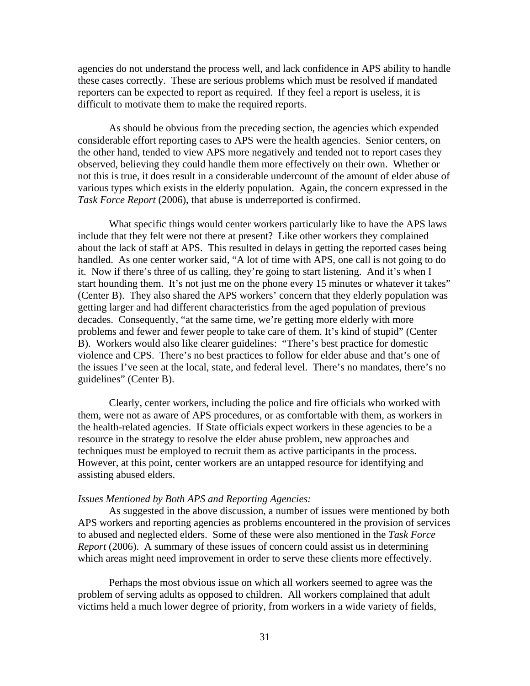agencies do not understand the process well, and lack confidence in APS ability to handle these cases correctly. These are serious problems which must be resolved if mandated reporters can be expected to report as required. If they feel a report is useless, it is difficult to motivate them to make the required reports.

As should be obvious from the preceding section, the agencies which expended considerable effort reporting cases to APS were the health agencies. Senior centers, on the other hand, tended to view APS more negatively and tended not to report cases they observed, believing they could handle them more effectively on their own. Whether or not this is true, it does result in a considerable undercount of the amount of elder abuse of various types which exists in the elderly population. Again, the concern expressed in the *Task Force Report* (2006), that abuse is underreported is confirmed.

What specific things would center workers particularly like to have the APS laws include that they felt were not there at present? Like other workers they complained about the lack of staff at APS. This resulted in delays in getting the reported cases being handled. As one center worker said, "A lot of time with APS, one call is not going to do it. Now if there's three of us calling, they're going to start listening. And it's when I start hounding them. It's not just me on the phone every 15 minutes or whatever it takes" (Center B). They also shared the APS workers' concern that they elderly population was getting larger and had different characteristics from the aged population of previous decades. Consequently, "at the same time, we're getting more elderly with more problems and fewer and fewer people to take care of them. It's kind of stupid" (Center B). Workers would also like clearer guidelines: "There's best practice for domestic violence and CPS. There's no best practices to follow for elder abuse and that's one of the issues I've seen at the local, state, and federal level. There's no mandates, there's no guidelines" (Center B).

Clearly, center workers, including the police and fire officials who worked with them, were not as aware of APS procedures, or as comfortable with them, as workers in the health-related agencies. If State officials expect workers in these agencies to be a resource in the strategy to resolve the elder abuse problem, new approaches and techniques must be employed to recruit them as active participants in the process. However, at this point, center workers are an untapped resource for identifying and assisting abused elders.

#### *Issues Mentioned by Both APS and Reporting Agencies:*

 As suggested in the above discussion, a number of issues were mentioned by both APS workers and reporting agencies as problems encountered in the provision of services to abused and neglected elders. Some of these were also mentioned in the *Task Force Report* (2006). A summary of these issues of concern could assist us in determining which areas might need improvement in order to serve these clients more effectively.

 Perhaps the most obvious issue on which all workers seemed to agree was the problem of serving adults as opposed to children. All workers complained that adult victims held a much lower degree of priority, from workers in a wide variety of fields,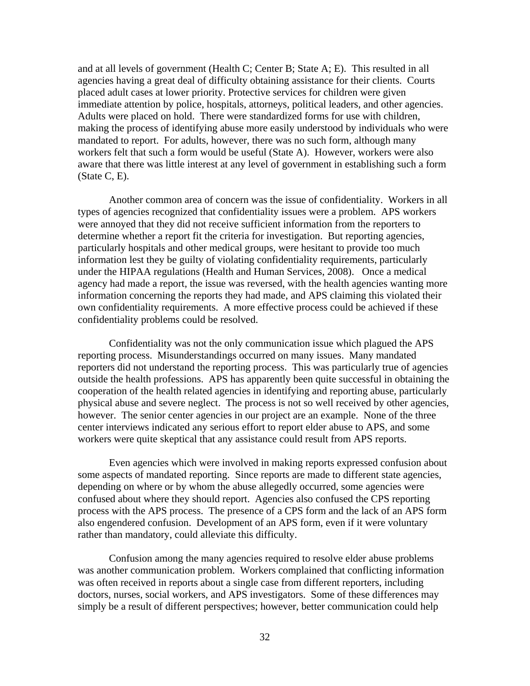and at all levels of government (Health C; Center B; State A; E). This resulted in all agencies having a great deal of difficulty obtaining assistance for their clients. Courts placed adult cases at lower priority. Protective services for children were given immediate attention by police, hospitals, attorneys, political leaders, and other agencies. Adults were placed on hold. There were standardized forms for use with children, making the process of identifying abuse more easily understood by individuals who were mandated to report. For adults, however, there was no such form, although many workers felt that such a form would be useful (State A). However, workers were also aware that there was little interest at any level of government in establishing such a form (State C, E).

 Another common area of concern was the issue of confidentiality. Workers in all types of agencies recognized that confidentiality issues were a problem. APS workers were annoyed that they did not receive sufficient information from the reporters to determine whether a report fit the criteria for investigation. But reporting agencies, particularly hospitals and other medical groups, were hesitant to provide too much information lest they be guilty of violating confidentiality requirements, particularly under the HIPAA regulations (Health and Human Services, 2008). Once a medical agency had made a report, the issue was reversed, with the health agencies wanting more information concerning the reports they had made, and APS claiming this violated their own confidentiality requirements. A more effective process could be achieved if these confidentiality problems could be resolved.

 Confidentiality was not the only communication issue which plagued the APS reporting process. Misunderstandings occurred on many issues. Many mandated reporters did not understand the reporting process. This was particularly true of agencies outside the health professions. APS has apparently been quite successful in obtaining the cooperation of the health related agencies in identifying and reporting abuse, particularly physical abuse and severe neglect. The process is not so well received by other agencies, however. The senior center agencies in our project are an example. None of the three center interviews indicated any serious effort to report elder abuse to APS, and some workers were quite skeptical that any assistance could result from APS reports.

 Even agencies which were involved in making reports expressed confusion about some aspects of mandated reporting. Since reports are made to different state agencies, depending on where or by whom the abuse allegedly occurred, some agencies were confused about where they should report. Agencies also confused the CPS reporting process with the APS process. The presence of a CPS form and the lack of an APS form also engendered confusion. Development of an APS form, even if it were voluntary rather than mandatory, could alleviate this difficulty.

 Confusion among the many agencies required to resolve elder abuse problems was another communication problem. Workers complained that conflicting information was often received in reports about a single case from different reporters, including doctors, nurses, social workers, and APS investigators. Some of these differences may simply be a result of different perspectives; however, better communication could help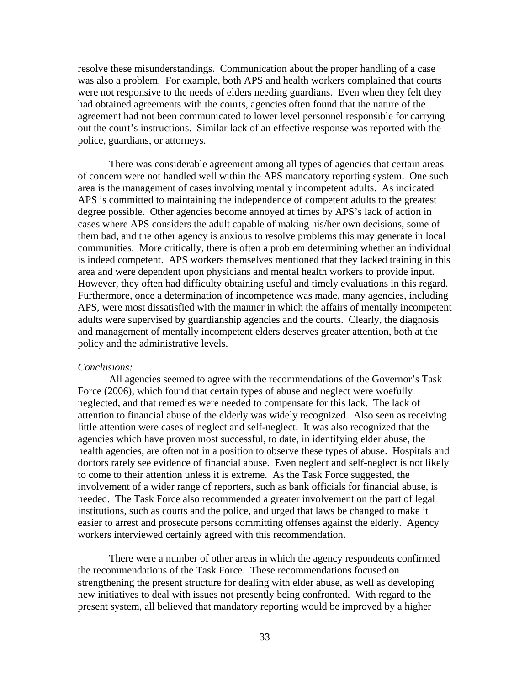resolve these misunderstandings. Communication about the proper handling of a case was also a problem. For example, both APS and health workers complained that courts were not responsive to the needs of elders needing guardians. Even when they felt they had obtained agreements with the courts, agencies often found that the nature of the agreement had not been communicated to lower level personnel responsible for carrying out the court's instructions. Similar lack of an effective response was reported with the police, guardians, or attorneys.

 There was considerable agreement among all types of agencies that certain areas of concern were not handled well within the APS mandatory reporting system. One such area is the management of cases involving mentally incompetent adults. As indicated APS is committed to maintaining the independence of competent adults to the greatest degree possible. Other agencies become annoyed at times by APS's lack of action in cases where APS considers the adult capable of making his/her own decisions, some of them bad, and the other agency is anxious to resolve problems this may generate in local communities. More critically, there is often a problem determining whether an individual is indeed competent. APS workers themselves mentioned that they lacked training in this area and were dependent upon physicians and mental health workers to provide input. However, they often had difficulty obtaining useful and timely evaluations in this regard. Furthermore, once a determination of incompetence was made, many agencies, including APS, were most dissatisfied with the manner in which the affairs of mentally incompetent adults were supervised by guardianship agencies and the courts. Clearly, the diagnosis and management of mentally incompetent elders deserves greater attention, both at the policy and the administrative levels.

#### *Conclusions:*

 All agencies seemed to agree with the recommendations of the Governor's Task Force (2006), which found that certain types of abuse and neglect were woefully neglected, and that remedies were needed to compensate for this lack. The lack of attention to financial abuse of the elderly was widely recognized. Also seen as receiving little attention were cases of neglect and self-neglect. It was also recognized that the agencies which have proven most successful, to date, in identifying elder abuse, the health agencies, are often not in a position to observe these types of abuse. Hospitals and doctors rarely see evidence of financial abuse. Even neglect and self-neglect is not likely to come to their attention unless it is extreme. As the Task Force suggested, the involvement of a wider range of reporters, such as bank officials for financial abuse, is needed. The Task Force also recommended a greater involvement on the part of legal institutions, such as courts and the police, and urged that laws be changed to make it easier to arrest and prosecute persons committing offenses against the elderly. Agency workers interviewed certainly agreed with this recommendation.

 There were a number of other areas in which the agency respondents confirmed the recommendations of the Task Force. These recommendations focused on strengthening the present structure for dealing with elder abuse, as well as developing new initiatives to deal with issues not presently being confronted. With regard to the present system, all believed that mandatory reporting would be improved by a higher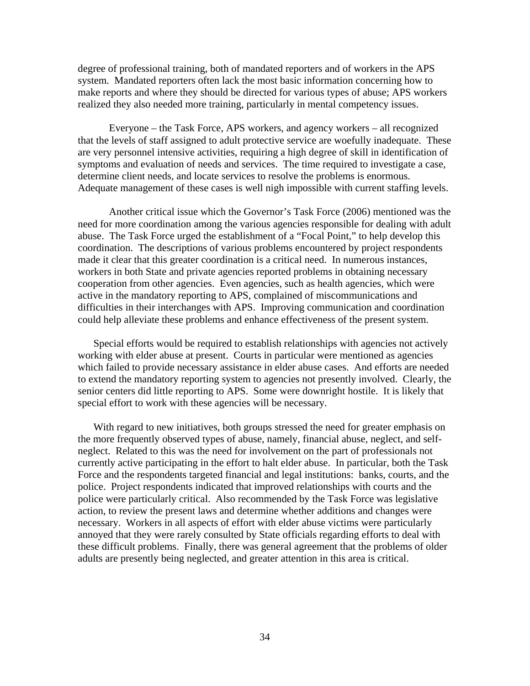degree of professional training, both of mandated reporters and of workers in the APS system. Mandated reporters often lack the most basic information concerning how to make reports and where they should be directed for various types of abuse; APS workers realized they also needed more training, particularly in mental competency issues.

 Everyone – the Task Force, APS workers, and agency workers – all recognized that the levels of staff assigned to adult protective service are woefully inadequate. These are very personnel intensive activities, requiring a high degree of skill in identification of symptoms and evaluation of needs and services. The time required to investigate a case, determine client needs, and locate services to resolve the problems is enormous. Adequate management of these cases is well nigh impossible with current staffing levels.

 Another critical issue which the Governor's Task Force (2006) mentioned was the need for more coordination among the various agencies responsible for dealing with adult abuse. The Task Force urged the establishment of a "Focal Point," to help develop this coordination. The descriptions of various problems encountered by project respondents made it clear that this greater coordination is a critical need. In numerous instances, workers in both State and private agencies reported problems in obtaining necessary cooperation from other agencies. Even agencies, such as health agencies, which were active in the mandatory reporting to APS, complained of miscommunications and difficulties in their interchanges with APS. Improving communication and coordination could help alleviate these problems and enhance effectiveness of the present system.

Special efforts would be required to establish relationships with agencies not actively working with elder abuse at present. Courts in particular were mentioned as agencies which failed to provide necessary assistance in elder abuse cases. And efforts are needed to extend the mandatory reporting system to agencies not presently involved. Clearly, the senior centers did little reporting to APS. Some were downright hostile. It is likely that special effort to work with these agencies will be necessary.

With regard to new initiatives, both groups stressed the need for greater emphasis on the more frequently observed types of abuse, namely, financial abuse, neglect, and selfneglect. Related to this was the need for involvement on the part of professionals not currently active participating in the effort to halt elder abuse. In particular, both the Task Force and the respondents targeted financial and legal institutions: banks, courts, and the police. Project respondents indicated that improved relationships with courts and the police were particularly critical. Also recommended by the Task Force was legislative action, to review the present laws and determine whether additions and changes were necessary. Workers in all aspects of effort with elder abuse victims were particularly annoyed that they were rarely consulted by State officials regarding efforts to deal with these difficult problems. Finally, there was general agreement that the problems of older adults are presently being neglected, and greater attention in this area is critical.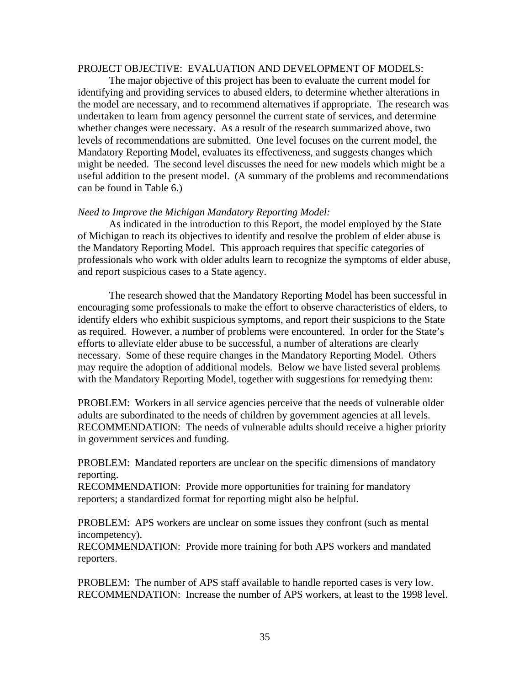#### PROJECT OBJECTIVE: EVALUATION AND DEVELOPMENT OF MODELS:

 The major objective of this project has been to evaluate the current model for identifying and providing services to abused elders, to determine whether alterations in the model are necessary, and to recommend alternatives if appropriate. The research was undertaken to learn from agency personnel the current state of services, and determine whether changes were necessary. As a result of the research summarized above, two levels of recommendations are submitted. One level focuses on the current model, the Mandatory Reporting Model, evaluates its effectiveness, and suggests changes which might be needed. The second level discusses the need for new models which might be a useful addition to the present model. (A summary of the problems and recommendations can be found in Table 6.)

#### *Need to Improve the Michigan Mandatory Reporting Model:*

 As indicated in the introduction to this Report, the model employed by the State of Michigan to reach its objectives to identify and resolve the problem of elder abuse is the Mandatory Reporting Model. This approach requires that specific categories of professionals who work with older adults learn to recognize the symptoms of elder abuse, and report suspicious cases to a State agency.

 The research showed that the Mandatory Reporting Model has been successful in encouraging some professionals to make the effort to observe characteristics of elders, to identify elders who exhibit suspicious symptoms, and report their suspicions to the State as required. However, a number of problems were encountered. In order for the State's efforts to alleviate elder abuse to be successful, a number of alterations are clearly necessary. Some of these require changes in the Mandatory Reporting Model. Others may require the adoption of additional models. Below we have listed several problems with the Mandatory Reporting Model, together with suggestions for remedying them:

PROBLEM: Workers in all service agencies perceive that the needs of vulnerable older adults are subordinated to the needs of children by government agencies at all levels. RECOMMENDATION: The needs of vulnerable adults should receive a higher priority in government services and funding.

PROBLEM: Mandated reporters are unclear on the specific dimensions of mandatory reporting.

RECOMMENDATION: Provide more opportunities for training for mandatory reporters; a standardized format for reporting might also be helpful.

PROBLEM: APS workers are unclear on some issues they confront (such as mental incompetency).

RECOMMENDATION: Provide more training for both APS workers and mandated reporters.

PROBLEM: The number of APS staff available to handle reported cases is very low. RECOMMENDATION: Increase the number of APS workers, at least to the 1998 level.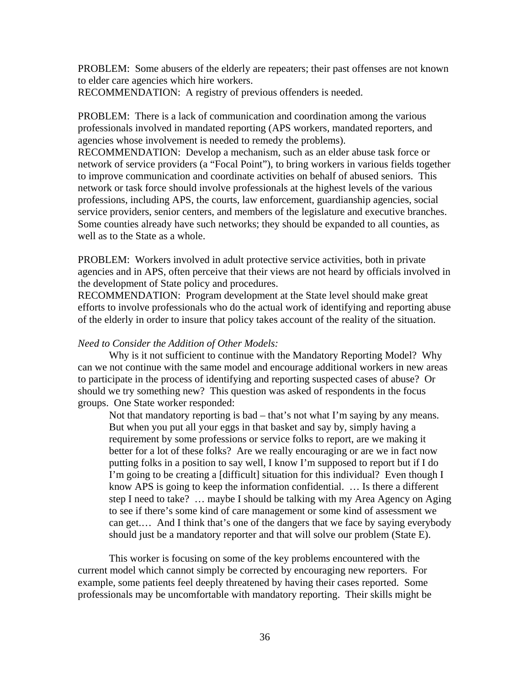PROBLEM: Some abusers of the elderly are repeaters; their past offenses are not known to elder care agencies which hire workers.

RECOMMENDATION: A registry of previous offenders is needed.

PROBLEM: There is a lack of communication and coordination among the various professionals involved in mandated reporting (APS workers, mandated reporters, and agencies whose involvement is needed to remedy the problems).

RECOMMENDATION: Develop a mechanism, such as an elder abuse task force or network of service providers (a "Focal Point"), to bring workers in various fields together to improve communication and coordinate activities on behalf of abused seniors. This network or task force should involve professionals at the highest levels of the various professions, including APS, the courts, law enforcement, guardianship agencies, social service providers, senior centers, and members of the legislature and executive branches. Some counties already have such networks; they should be expanded to all counties, as well as to the State as a whole.

PROBLEM: Workers involved in adult protective service activities, both in private agencies and in APS, often perceive that their views are not heard by officials involved in the development of State policy and procedures.

RECOMMENDATION: Program development at the State level should make great efforts to involve professionals who do the actual work of identifying and reporting abuse of the elderly in order to insure that policy takes account of the reality of the situation.

#### *Need to Consider the Addition of Other Models:*

 Why is it not sufficient to continue with the Mandatory Reporting Model? Why can we not continue with the same model and encourage additional workers in new areas to participate in the process of identifying and reporting suspected cases of abuse? Or should we try something new? This question was asked of respondents in the focus groups. One State worker responded:

 Not that mandatory reporting is bad – that's not what I'm saying by any means. But when you put all your eggs in that basket and say by, simply having a requirement by some professions or service folks to report, are we making it better for a lot of these folks? Are we really encouraging or are we in fact now putting folks in a position to say well, I know I'm supposed to report but if I do I'm going to be creating a [difficult] situation for this individual? Even though I know APS is going to keep the information confidential. … Is there a different step I need to take? … maybe I should be talking with my Area Agency on Aging to see if there's some kind of care management or some kind of assessment we can get.… And I think that's one of the dangers that we face by saying everybody should just be a mandatory reporter and that will solve our problem (State E).

 This worker is focusing on some of the key problems encountered with the current model which cannot simply be corrected by encouraging new reporters. For example, some patients feel deeply threatened by having their cases reported. Some professionals may be uncomfortable with mandatory reporting. Their skills might be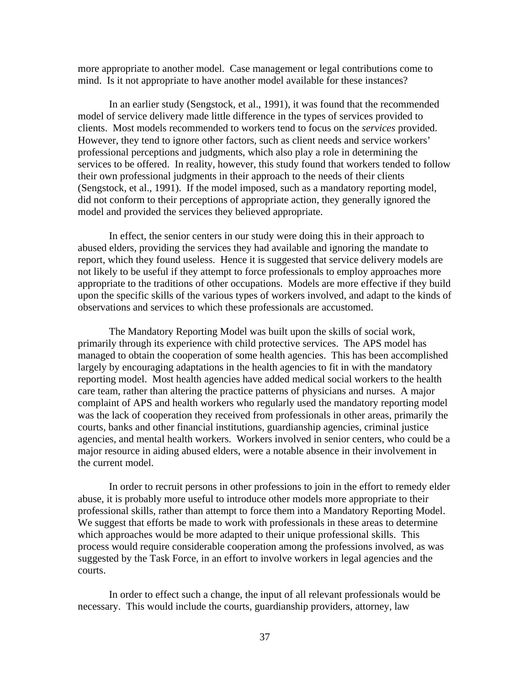more appropriate to another model. Case management or legal contributions come to mind. Is it not appropriate to have another model available for these instances?

In an earlier study (Sengstock, et al., 1991), it was found that the recommended model of service delivery made little difference in the types of services provided to clients. Most models recommended to workers tend to focus on the *services* provided. However, they tend to ignore other factors, such as client needs and service workers' professional perceptions and judgments, which also play a role in determining the services to be offered. In reality, however, this study found that workers tended to follow their own professional judgments in their approach to the needs of their clients (Sengstock, et al., 1991). If the model imposed, such as a mandatory reporting model, did not conform to their perceptions of appropriate action, they generally ignored the model and provided the services they believed appropriate.

In effect, the senior centers in our study were doing this in their approach to abused elders, providing the services they had available and ignoring the mandate to report, which they found useless. Hence it is suggested that service delivery models are not likely to be useful if they attempt to force professionals to employ approaches more appropriate to the traditions of other occupations. Models are more effective if they build upon the specific skills of the various types of workers involved, and adapt to the kinds of observations and services to which these professionals are accustomed.

 The Mandatory Reporting Model was built upon the skills of social work, primarily through its experience with child protective services. The APS model has managed to obtain the cooperation of some health agencies. This has been accomplished largely by encouraging adaptations in the health agencies to fit in with the mandatory reporting model. Most health agencies have added medical social workers to the health care team, rather than altering the practice patterns of physicians and nurses. A major complaint of APS and health workers who regularly used the mandatory reporting model was the lack of cooperation they received from professionals in other areas, primarily the courts, banks and other financial institutions, guardianship agencies, criminal justice agencies, and mental health workers. Workers involved in senior centers, who could be a major resource in aiding abused elders, were a notable absence in their involvement in the current model.

In order to recruit persons in other professions to join in the effort to remedy elder abuse, it is probably more useful to introduce other models more appropriate to their professional skills, rather than attempt to force them into a Mandatory Reporting Model. We suggest that efforts be made to work with professionals in these areas to determine which approaches would be more adapted to their unique professional skills. This process would require considerable cooperation among the professions involved, as was suggested by the Task Force, in an effort to involve workers in legal agencies and the courts.

In order to effect such a change, the input of all relevant professionals would be necessary. This would include the courts, guardianship providers, attorney, law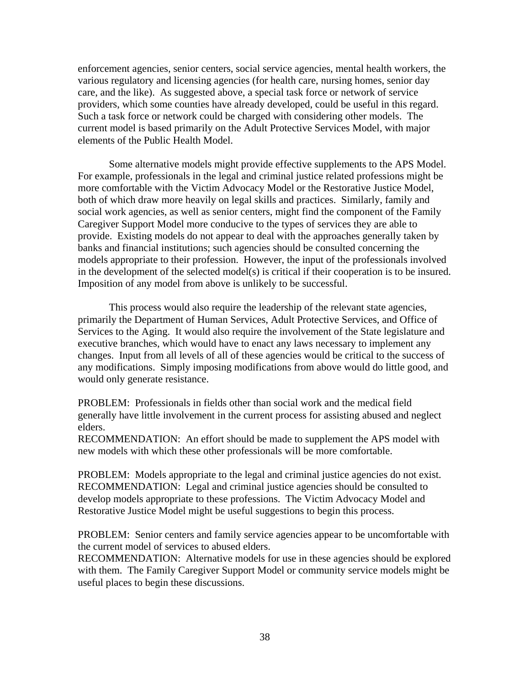enforcement agencies, senior centers, social service agencies, mental health workers, the various regulatory and licensing agencies (for health care, nursing homes, senior day care, and the like). As suggested above, a special task force or network of service providers, which some counties have already developed, could be useful in this regard. Such a task force or network could be charged with considering other models. The current model is based primarily on the Adult Protective Services Model, with major elements of the Public Health Model.

Some alternative models might provide effective supplements to the APS Model. For example, professionals in the legal and criminal justice related professions might be more comfortable with the Victim Advocacy Model or the Restorative Justice Model, both of which draw more heavily on legal skills and practices. Similarly, family and social work agencies, as well as senior centers, might find the component of the Family Caregiver Support Model more conducive to the types of services they are able to provide. Existing models do not appear to deal with the approaches generally taken by banks and financial institutions; such agencies should be consulted concerning the models appropriate to their profession. However, the input of the professionals involved in the development of the selected model(s) is critical if their cooperation is to be insured. Imposition of any model from above is unlikely to be successful.

This process would also require the leadership of the relevant state agencies, primarily the Department of Human Services, Adult Protective Services, and Office of Services to the Aging. It would also require the involvement of the State legislature and executive branches, which would have to enact any laws necessary to implement any changes. Input from all levels of all of these agencies would be critical to the success of any modifications. Simply imposing modifications from above would do little good, and would only generate resistance.

PROBLEM: Professionals in fields other than social work and the medical field generally have little involvement in the current process for assisting abused and neglect elders.

RECOMMENDATION: An effort should be made to supplement the APS model with new models with which these other professionals will be more comfortable.

PROBLEM: Models appropriate to the legal and criminal justice agencies do not exist. RECOMMENDATION: Legal and criminal justice agencies should be consulted to develop models appropriate to these professions. The Victim Advocacy Model and Restorative Justice Model might be useful suggestions to begin this process.

PROBLEM: Senior centers and family service agencies appear to be uncomfortable with the current model of services to abused elders.

RECOMMENDATION: Alternative models for use in these agencies should be explored with them. The Family Caregiver Support Model or community service models might be useful places to begin these discussions.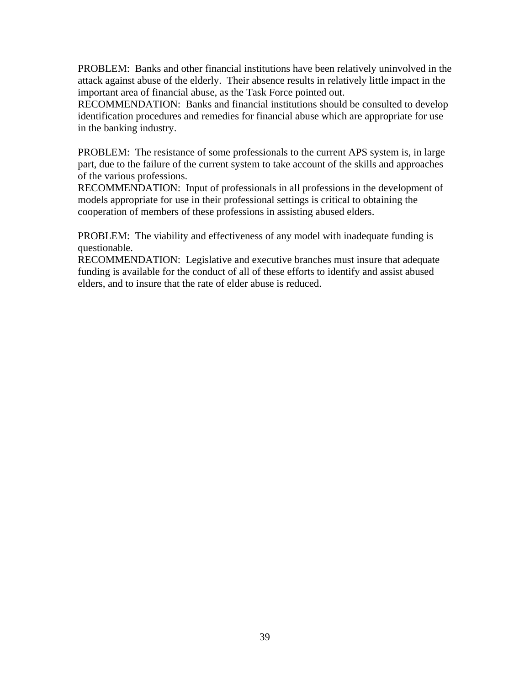PROBLEM: Banks and other financial institutions have been relatively uninvolved in the attack against abuse of the elderly. Their absence results in relatively little impact in the important area of financial abuse, as the Task Force pointed out.

RECOMMENDATION: Banks and financial institutions should be consulted to develop identification procedures and remedies for financial abuse which are appropriate for use in the banking industry.

PROBLEM: The resistance of some professionals to the current APS system is, in large part, due to the failure of the current system to take account of the skills and approaches of the various professions.

RECOMMENDATION: Input of professionals in all professions in the development of models appropriate for use in their professional settings is critical to obtaining the cooperation of members of these professions in assisting abused elders.

PROBLEM: The viability and effectiveness of any model with inadequate funding is questionable.

RECOMMENDATION: Legislative and executive branches must insure that adequate funding is available for the conduct of all of these efforts to identify and assist abused elders, and to insure that the rate of elder abuse is reduced.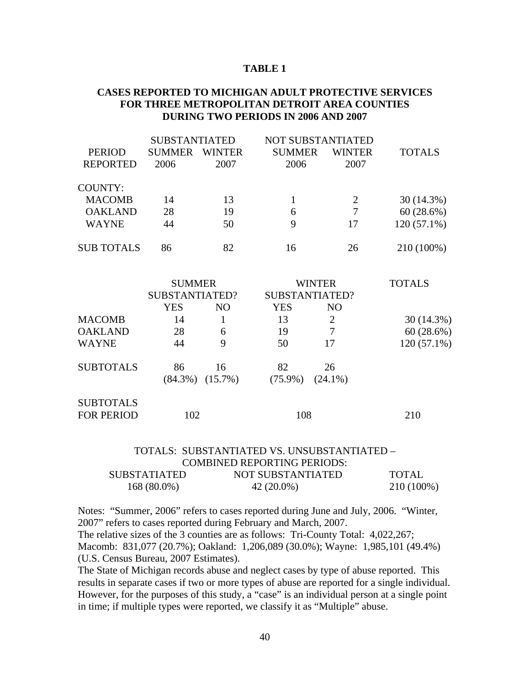#### **TABLE 1**

#### **CASES REPORTED TO MICHIGAN ADULT PROTECTIVE SERVICES FOR THREE METROPOLITAN DETROIT AREA COUNTIES DURING TWO PERIODS IN 2006 AND 2007**

|                   | <b>SUBSTANTIATED</b> |                |               | NOT SUBSTANTIATED |               |
|-------------------|----------------------|----------------|---------------|-------------------|---------------|
| <b>PERIOD</b>     | <b>SUMMER</b>        | <b>WINTER</b>  | <b>SUMMER</b> | <b>WINTER</b>     | <b>TOTALS</b> |
| <b>REPORTED</b>   | 2006                 | 2007           | 2006          | 2007              |               |
| <b>COUNTY:</b>    |                      |                |               |                   |               |
| <b>MACOMB</b>     | 14                   | 13             | $\mathbf{1}$  | $\overline{2}$    | 30(14.3%)     |
| <b>OAKLAND</b>    | 28                   | 19             | 6             | $\overline{7}$    | 60(28.6%)     |
| <b>WAYNE</b>      | 44                   | 50             | 9             | 17                | $120(57.1\%)$ |
| <b>SUB TOTALS</b> | 86                   | 82             | 16            | 26                | 210 (100%)    |
|                   | <b>SUMMER</b>        |                |               | <b>WINTER</b>     | <b>TOTALS</b> |
|                   | SUBSTANTIATED?       |                |               | SUBSTANTIATED?    |               |
|                   | <b>YES</b>           | N <sub>O</sub> | <b>YES</b>    | N <sub>O</sub>    |               |
| <b>MACOMB</b>     | 14                   | $\mathbf{1}$   | 13            | $\overline{2}$    | 30(14.3%)     |
| <b>OAKLAND</b>    | 28                   | 6              | 19            | $\overline{7}$    | 60(28.6%)     |
| <b>WAYNE</b>      | 44                   | 9              | 50            | 17                | $120(57.1\%)$ |
| <b>SUBTOTALS</b>  | 86                   | 16             | 82            | 26                |               |
|                   | $(84.3\%)$           | $(15.7\%)$     | $(75.9\%)$    | $(24.1\%)$        |               |
| <b>SUBTOTALS</b>  |                      |                |               |                   |               |
| <b>FOR PERIOD</b> | 102                  |                | 108           |                   | 210           |

#### TOTALS: SUBSTANTIATED VS. UNSUBSTANTIATED – COMBINED REPORTING PERIODS:<br>SUBSTATIATED NOT SUBSTANTIATED SUBSTATIATED NOT SUBSTANTIATED TOTAL

| SUBSTATIATED  | NOT SUBSTANTIATED | TUTAL      |
|---------------|-------------------|------------|
| $168(80.0\%)$ | 42 (20.0%)        | 210 (100%) |

Notes: "Summer, 2006" refers to cases reported during June and July, 2006. "Winter, 2007" refers to cases reported during February and March, 2007.

The relative sizes of the 3 counties are as follows: Tri-County Total: 4,022,267; Macomb: 831,077 (20.7%); Oakland: 1,206,089 (30.0%); Wayne: 1,985,101 (49.4%) (U.S. Census Bureau, 2007 Estimates).

The State of Michigan records abuse and neglect cases by type of abuse reported. This results in separate cases if two or more types of abuse are reported for a single individual. However, for the purposes of this study, a "case" is an individual person at a single point in time; if multiple types were reported, we classify it as "Multiple" abuse.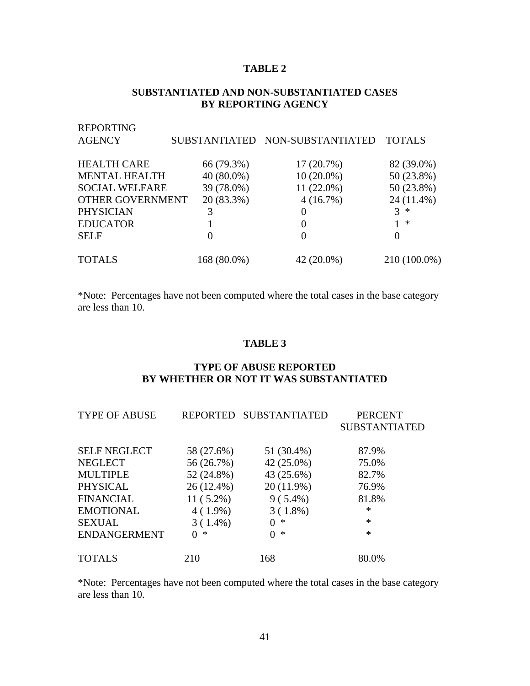# **TABLE 2**

#### **SUBSTANTIATED AND NON-SUBSTANTIATED CASES BY REPORTING AGENCY**

| <b>REPORTING</b><br><b>AGENCY</b> |              | SUBSTANTIATED NON-SUBSTANTIATED | <b>TOTALS</b> |
|-----------------------------------|--------------|---------------------------------|---------------|
| <b>HEALTH CARE</b>                | 66 (79.3%)   | 17(20.7%)                       | 82 (39.0%)    |
| <b>MENTAL HEALTH</b>              | $40(80.0\%)$ | $10(20.0\%)$                    | 50 (23.8%)    |
| <b>SOCIAL WELFARE</b>             | 39 (78.0%)   | $11(22.0\%)$                    | 50 (23.8%)    |
| OTHER GOVERNMENT                  | 20 (83.3%)   | 4(16.7%)                        | 24 (11.4%)    |
| <b>PHYSICIAN</b>                  |              | 0                               | 3<br>∗        |
| <b>EDUCATOR</b>                   |              | 0                               | ∗             |
| <b>SELF</b>                       | 0            | 0                               | 0             |
| <b>TOTALS</b>                     | 168 (80.0%)  | 42 (20.0%)                      | 210 (100.0%)  |

\*Note: Percentages have not been computed where the total cases in the base category are less than 10.

# **TABLE 3**

#### **TYPE OF ABUSE REPORTED BY WHETHER OR NOT IT WAS SUBSTANTIATED**

| <b>TYPE OF ABUSE</b> |             | REPORTED SUBSTANTIATED | <b>PERCENT</b>       |
|----------------------|-------------|------------------------|----------------------|
|                      |             |                        | <b>SUBSTANTIATED</b> |
|                      |             |                        |                      |
| <b>SELF NEGLECT</b>  | 58 (27.6%)  | 51 (30.4%)             | 87.9%                |
| <b>NEGLECT</b>       | 56 (26.7%)  | 42 (25.0%)             | 75.0%                |
| <b>MULTIPLE</b>      | 52 (24.8%)  | 43 (25.6%)             | 82.7%                |
| PHYSICAL             | 26 (12.4%)  | 20 (11.9%)             | 76.9%                |
| <b>FINANCIAL</b>     | $11(5.2\%)$ | $9(5.4\%)$             | 81.8%                |
| <b>EMOTIONAL</b>     | $4(1.9\%)$  | $3(1.8\%)$             | $\ast$               |
| <b>SEXUAL</b>        | $3(1.4\%)$  | ∗<br>$\Omega$          | $\ast$               |
| <b>ENDANGERMENT</b>  | ∗<br>0      | $0 *$                  | $\ast$               |
|                      |             |                        |                      |
| <b>TOTALS</b>        | 210         | 168                    | 80.0%                |

\*Note: Percentages have not been computed where the total cases in the base category are less than 10.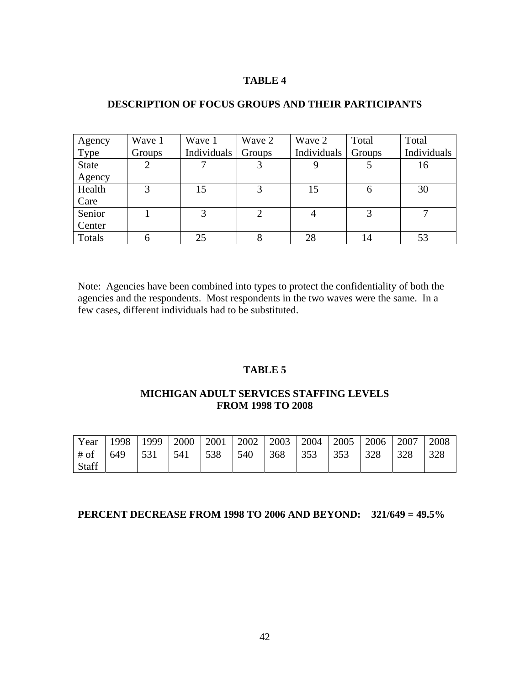#### **TABLE 4**

| Agency       | Wave 1 | Wave 1      | Wave 2 | Wave 2      | Total  | Total       |
|--------------|--------|-------------|--------|-------------|--------|-------------|
| Type         | Groups | Individuals | Groups | Individuals | Groups | Individuals |
| <b>State</b> | 2      |             |        |             |        | 16          |
| Agency       |        |             |        |             |        |             |
| Health       | 3      | 15          | 3      | 15          | 6      | 30          |
| Care         |        |             |        |             |        |             |
| Senior       |        |             | ◠      |             |        | ⇁           |
| Center       |        |             |        |             |        |             |
| Totals       | 6      | 25          | 8      | 28          | 14     | 53          |

#### **DESCRIPTION OF FOCUS GROUPS AND THEIR PARTICIPANTS**

Note: Agencies have been combined into types to protect the confidentiality of both the agencies and the respondents. Most respondents in the two waves were the same. In a few cases, different individuals had to be substituted.

## **TABLE 5**

#### **MICHIGAN ADULT SERVICES STAFFING LEVELS FROM 1998 TO 2008**

| Year   | 1998 | 1999 | 2000 | 2001 | 2002 | 2003 | 2004 | 2005 | 2006 | 2007 | 2008 |
|--------|------|------|------|------|------|------|------|------|------|------|------|
| $#$ of | 649  | 531  | 541  | 538  | 540  | 368  | 353  | 353  | 328  | 328  | 328  |
| Staff  |      |      |      |      |      |      |      |      |      |      |      |

# **PERCENT DECREASE FROM 1998 TO 2006 AND BEYOND: 321/649 = 49.5%**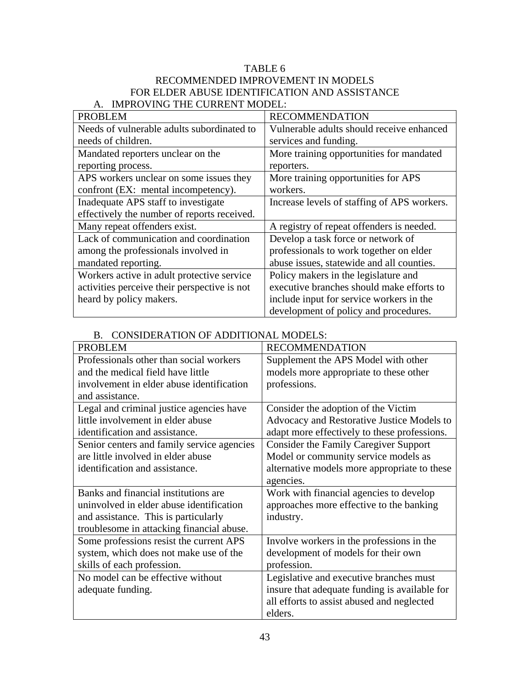| TABLE 6                                       |
|-----------------------------------------------|
| RECOMMENDED IMPROVEMENT IN MODELS             |
| FOR ELDER ABUSE IDENTIFICATION AND ASSISTANCE |
| IMPROVING THE CURRENT MODEL:                  |

| <b>PROBLEM</b>                               | <b>RECOMMENDATION</b>                       |
|----------------------------------------------|---------------------------------------------|
| Needs of vulnerable adults subordinated to   | Vulnerable adults should receive enhanced   |
| needs of children.                           | services and funding.                       |
| Mandated reporters unclear on the            | More training opportunities for mandated    |
| reporting process.                           | reporters.                                  |
| APS workers unclear on some issues they      | More training opportunities for APS         |
| confront (EX: mental incompetency).          | workers.                                    |
| Inadequate APS staff to investigate          | Increase levels of staffing of APS workers. |
| effectively the number of reports received.  |                                             |
| Many repeat offenders exist.                 | A registry of repeat offenders is needed.   |
| Lack of communication and coordination       | Develop a task force or network of          |
| among the professionals involved in          | professionals to work together on elder     |
| mandated reporting.                          | abuse issues, statewide and all counties.   |
| Workers active in adult protective service   | Policy makers in the legislature and        |
| activities perceive their perspective is not | executive branches should make efforts to   |
| heard by policy makers.                      | include input for service workers in the    |
|                                              | development of policy and procedures.       |

# B. CONSIDERATION OF ADDITIONAL MODELS:

| <b>PROBLEM</b>                             | <b>RECOMMENDATION</b>                         |
|--------------------------------------------|-----------------------------------------------|
| Professionals other than social workers    | Supplement the APS Model with other           |
| and the medical field have little          | models more appropriate to these other        |
| involvement in elder abuse identification  | professions.                                  |
| and assistance.                            |                                               |
| Legal and criminal justice agencies have   | Consider the adoption of the Victim           |
| little involvement in elder abuse          | Advocacy and Restorative Justice Models to    |
| identification and assistance.             | adapt more effectively to these professions.  |
| Senior centers and family service agencies | <b>Consider the Family Caregiver Support</b>  |
| are little involved in elder abuse         | Model or community service models as          |
| identification and assistance.             | alternative models more appropriate to these  |
|                                            | agencies.                                     |
| Banks and financial institutions are       | Work with financial agencies to develop       |
| uninvolved in elder abuse identification   | approaches more effective to the banking      |
| and assistance. This is particularly       | industry.                                     |
| troublesome in attacking financial abuse.  |                                               |
| Some professions resist the current APS    | Involve workers in the professions in the     |
| system, which does not make use of the     | development of models for their own           |
| skills of each profession.                 | profession.                                   |
| No model can be effective without          | Legislative and executive branches must       |
| adequate funding.                          | insure that adequate funding is available for |
|                                            | all efforts to assist abused and neglected    |
|                                            | elders.                                       |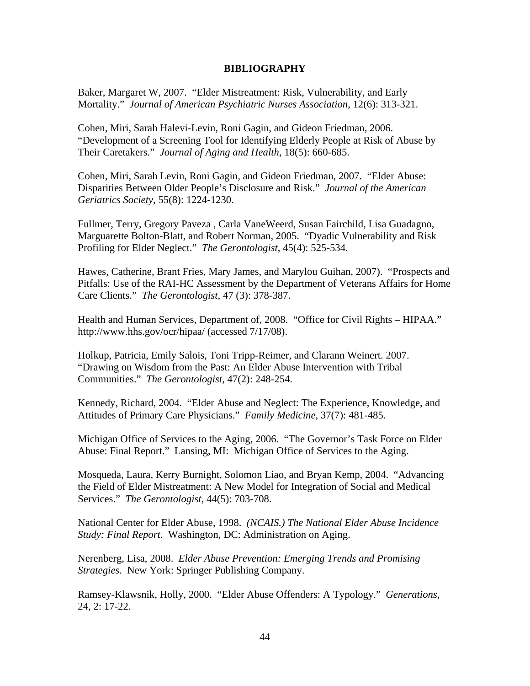#### **BIBLIOGRAPHY**

Baker, Margaret W, 2007. "Elder Mistreatment: Risk, Vulnerability, and Early Mortality." *Journal of American Psychiatric Nurses Association*, 12(6): 313-321.

Cohen, Miri, Sarah Halevi-Levin, Roni Gagin, and Gideon Friedman, 2006. "Development of a Screening Tool for Identifying Elderly People at Risk of Abuse by Their Caretakers." *Journal of Aging and Health,* 18(5): 660-685.

Cohen, Miri, Sarah Levin, Roni Gagin, and Gideon Friedman, 2007. "Elder Abuse: Disparities Between Older People's Disclosure and Risk." *Journal of the American Geriatrics Society,* 55(8): 1224-1230.

Fullmer, Terry, Gregory Paveza , Carla VaneWeerd, Susan Fairchild, Lisa Guadagno, Marguarette Bolton-Blatt, and Robert Norman, 2005. "Dyadic Vulnerability and Risk Profiling for Elder Neglect." *The Gerontologist*, 45(4): 525-534.

Hawes, Catherine, Brant Fries, Mary James, and Marylou Guihan, 2007). "Prospects and Pitfalls: Use of the RAI-HC Assessment by the Department of Veterans Affairs for Home Care Clients." *The Gerontologist*, 47 (3): 378-387.

Health and Human Services, Department of, 2008. "Office for Civil Rights – HIPAA." http://www.hhs.gov/ocr/hipaa/ (accessed 7/17/08).

Holkup, Patricia, Emily Salois, Toni Tripp-Reimer, and Clarann Weinert. 2007. "Drawing on Wisdom from the Past: An Elder Abuse Intervention with Tribal Communities." *The Gerontologist,* 47(2): 248-254.

Kennedy, Richard, 2004. "Elder Abuse and Neglect: The Experience, Knowledge, and Attitudes of Primary Care Physicians." *Family Medicine,* 37(7): 481-485.

Michigan Office of Services to the Aging, 2006. "The Governor's Task Force on Elder Abuse: Final Report." Lansing, MI: Michigan Office of Services to the Aging.

Mosqueda, Laura, Kerry Burnight, Solomon Liao, and Bryan Kemp, 2004. "Advancing the Field of Elder Mistreatment: A New Model for Integration of Social and Medical Services." *The Gerontologist*, 44(5): 703-708.

National Center for Elder Abuse, 1998. *(NCAIS.) The National Elder Abuse Incidence Study: Final Report*. Washington, DC: Administration on Aging.

Nerenberg, Lisa, 2008. *Elder Abuse Prevention: Emerging Trends and Promising Strategies*. New York: Springer Publishing Company.

Ramsey-Klawsnik, Holly, 2000. "Elder Abuse Offenders: A Typology." *Generations*, 24, 2: 17-22.